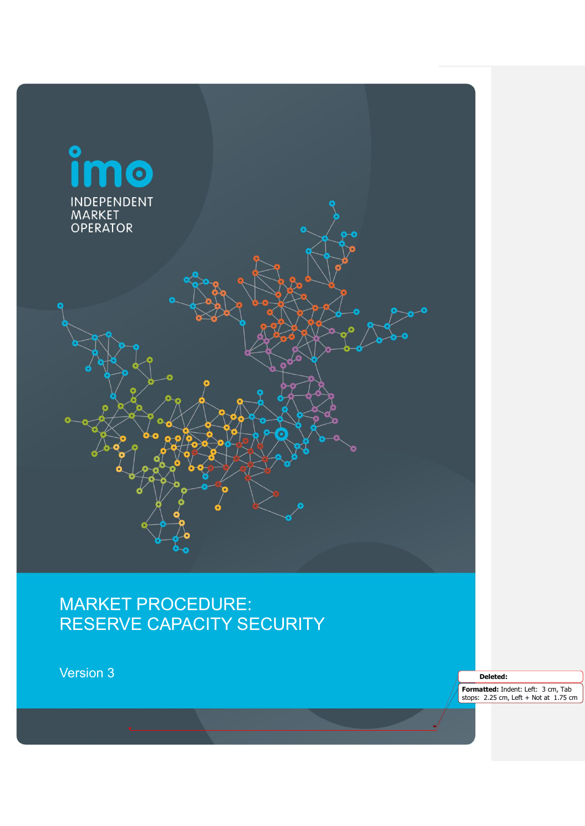

Reserve Capacity Security V3 Page 1 of 26

# MARKET PROCEDURE: RESERVE CAPACITY SECURITY

Version 3

**Deleted:** 

**Formatted:** Indent: Left: 3 cm, Tab stops: 2.25 cm, Left + Not at 1.75 cm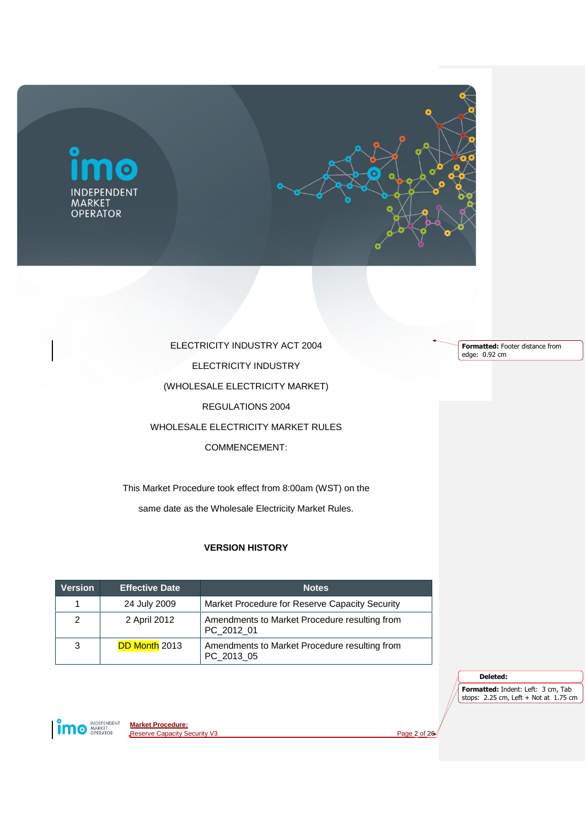

ELECTRICITY INDUSTRY ACT 2004 ELECTRICITY INDUSTRY (WHOLESALE ELECTRICITY MARKET) REGULATIONS 2004 WHOLESALE ELECTRICITY MARKET RULES COMMENCEMENT:

This Market Procedure took effect from 8:00am (WST) on the same date as the Wholesale Electricity Market Rules.

# **VERSION HISTORY**

| <b>Version</b> | <b>Effective Date</b> | <b>Notes</b>                                                |
|----------------|-----------------------|-------------------------------------------------------------|
| 1              | 24 July 2009          | Market Procedure for Reserve Capacity Security              |
| 2              | 2 April 2012          | Amendments to Market Procedure resulting from<br>PC 2012 01 |
| 3              | <b>DD Month 2013</b>  | Amendments to Market Procedure resulting from<br>PC_2013_05 |

**Formatted:** Footer distance from edge: 0.92 cm

**Deleted:** 

**Formatted:** Indent: Left: 3 cm, Tab stops: 2.25 cm, Left + Not at 1.75 cm

**implement** 

**Market Procedure:** Reserve Capacity Security V3 Page 2 of 26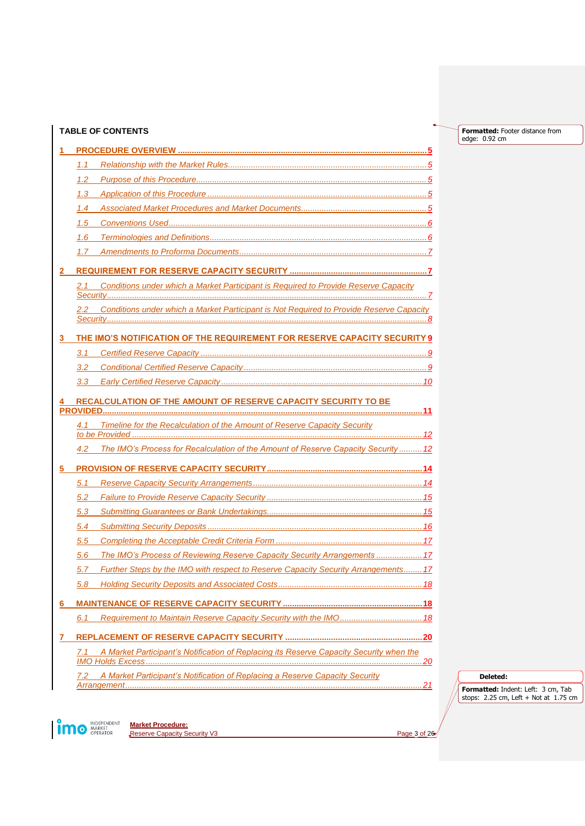|    | <b>TABLE OF CONTENTS</b>                                                                       |  |
|----|------------------------------------------------------------------------------------------------|--|
|    |                                                                                                |  |
|    | 1.1                                                                                            |  |
|    | 1.2                                                                                            |  |
|    | 1.3                                                                                            |  |
|    | 1.4                                                                                            |  |
|    | 1.5                                                                                            |  |
|    | 1.6                                                                                            |  |
|    | 1.7                                                                                            |  |
|    |                                                                                                |  |
|    | Conditions under which a Market Participant is Required to Provide Reserve Capacity<br>2.1     |  |
|    |                                                                                                |  |
|    | Conditions under which a Market Participant is Not Required to Provide Reserve Capacity<br>2.2 |  |
|    |                                                                                                |  |
| 3. | THE IMO'S NOTIFICATION OF THE REQUIREMENT FOR RESERVE CAPACITY SECURITY 9                      |  |
|    | 3.1                                                                                            |  |
|    | 3.2                                                                                            |  |
|    | 3.3                                                                                            |  |
|    | RECALCULATION OF THE AMOUNT OF RESERVE CAPACITY SECURITY TO BE                                 |  |
|    |                                                                                                |  |
|    | Timeline for the Recalculation of the Amount of Reserve Capacity Security<br>4.1               |  |
|    | The IMO's Process for Recalculation of the Amount of Reserve Capacity Security  12<br>4.2      |  |
| 5  |                                                                                                |  |
|    | 5.1                                                                                            |  |
|    | 5.2                                                                                            |  |
|    | 5.3                                                                                            |  |
|    | 5.4                                                                                            |  |
|    | 5.5                                                                                            |  |
|    | The IMO's Process of Reviewing Reserve Capacity Security Arrangements  17<br>5.6               |  |
|    | Further Steps by the IMO with respect to Reserve Capacity Security Arrangements 17<br>5.7      |  |
|    | 5.8                                                                                            |  |
|    |                                                                                                |  |
| 6. |                                                                                                |  |
|    | Requirement to Maintain Reserve Capacity Security with the IMO 18<br>6.1                       |  |
|    |                                                                                                |  |
|    | A Market Participant's Notification of Replacing its Reserve Capacity Security when the<br>7.1 |  |
|    |                                                                                                |  |
|    | A Market Participant's Notification of Replacing a Reserve Capacity Security<br>7.2            |  |
|    |                                                                                                |  |

**Deleted: Formatted:** Indent: Left: 3 cm, Tab stops: 2.25 cm, Left + Not at 1.75 cm

**Formatted:** Footer distance from

edge: 0.92 cm

**Market Procedure: Reserve Capacity Security V3** Page 3 of 26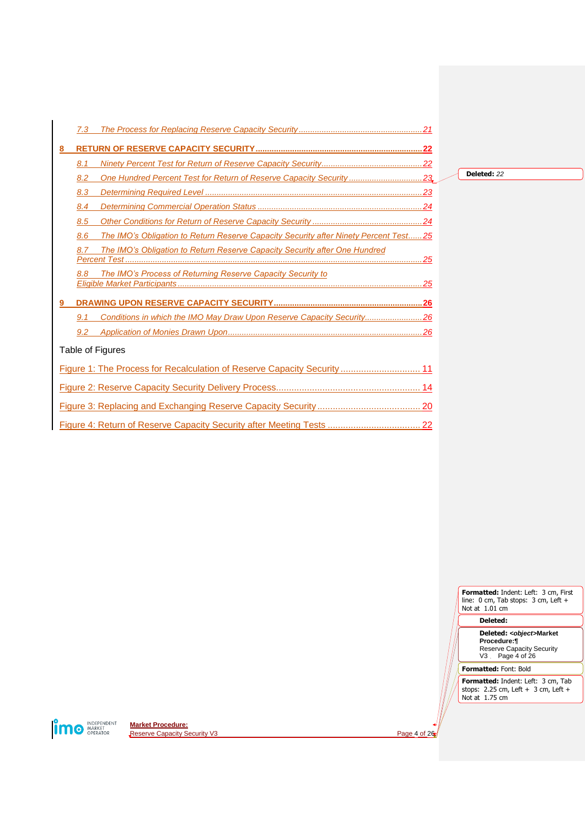|   | 7.3 |                                                                                      |
|---|-----|--------------------------------------------------------------------------------------|
| 8 |     |                                                                                      |
|   | 8.1 |                                                                                      |
|   | 8.2 | One Hundred Percent Test for Return of Reserve Capacity Security23                   |
|   | 8.3 |                                                                                      |
|   | 8.4 |                                                                                      |
|   | 8.5 |                                                                                      |
|   | 8.6 | The IMO's Obligation to Return Reserve Capacity Security after Ninety Percent Test25 |
|   | 8.7 | The IMO's Obligation to Return Reserve Capacity Security after One Hundred           |
|   | 8.8 | The IMO's Process of Returning Reserve Capacity Security to                          |
|   |     |                                                                                      |
|   | 9.1 | Conditions in which the IMO May Draw Upon Reserve Capacity Security26                |
|   | 9.2 |                                                                                      |
|   |     | Table of Figures                                                                     |
|   |     | Figure 1: The Process for Recalculation of Reserve Capacity Security 11              |
|   |     |                                                                                      |
|   |     |                                                                                      |
|   |     |                                                                                      |

**Deleted:** *22*



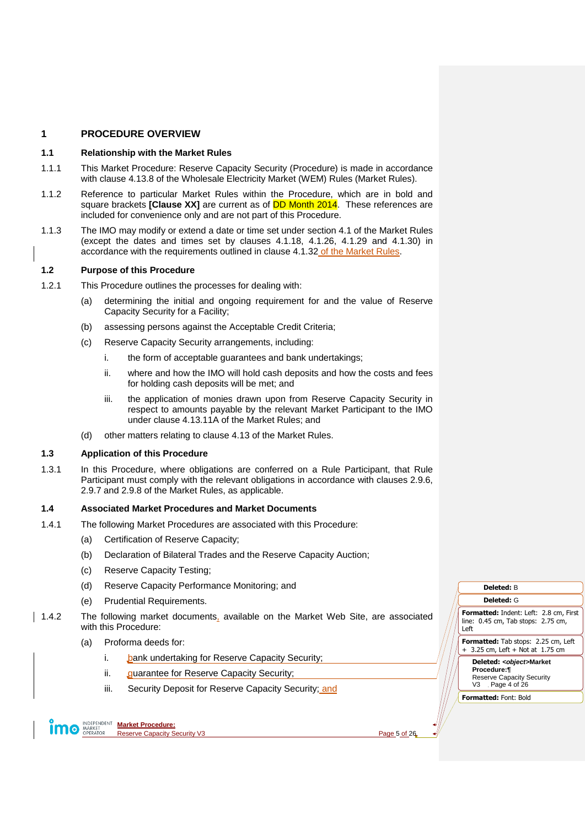# <span id="page-4-0"></span>**1 PROCEDURE OVERVIEW**

#### <span id="page-4-1"></span>**1.1 Relationship with the Market Rules**

- 1.1.1 This Market Procedure: Reserve Capacity Security (Procedure) is made in accordance with clause 4.13.8 of the Wholesale Electricity Market (WEM) Rules (Market Rules).
- 1.1.2 Reference to particular Market Rules within the Procedure, which are in bold and square brackets **[Clause XX]** are current as of DD Month 2014. These references are included for convenience only and are not part of this Procedure.
- 1.1.3 The IMO may modify or extend a date or time set under section 4.1 of the Market Rules (except the dates and times set by clauses 4.1.18, 4.1.26, 4.1.29 and 4.1.30) in accordance with the requirements outlined in clause 4.1.32 of the Market Rules.

# <span id="page-4-2"></span>**1.2 Purpose of this Procedure**

- 1.2.1 This Procedure outlines the processes for dealing with:
	- (a) determining the initial and ongoing requirement for and the value of Reserve Capacity Security for a Facility;
	- (b) assessing persons against the Acceptable Credit Criteria;
	- (c) Reserve Capacity Security arrangements, including:
		- i. the form of acceptable guarantees and bank undertakings;
		- ii. where and how the IMO will hold cash deposits and how the costs and fees for holding cash deposits will be met; and
		- iii. the application of monies drawn upon from Reserve Capacity Security in respect to amounts payable by the relevant Market Participant to the IMO under clause 4.13.11A of the Market Rules; and
	- (d) other matters relating to clause 4.13 of the Market Rules.

# <span id="page-4-3"></span>**1.3 Application of this Procedure**

1.3.1 In this Procedure, where obligations are conferred on a Rule Participant, that Rule Participant must comply with the relevant obligations in accordance with clauses 2.9.6, 2.9.7 and 2.9.8 of the Market Rules, as applicable.

#### <span id="page-4-4"></span>**1.4 Associated Market Procedures and Market Documents**

- 1.4.1 The following Market Procedures are associated with this Procedure:
	- (a) Certification of Reserve Capacity;
	- (b) Declaration of Bilateral Trades and the Reserve Capacity Auction;
	- (c) Reserve Capacity Testing;
	- (d) Reserve Capacity Performance Monitoring; and
	- (e) Prudential Requirements.
- <span id="page-4-5"></span>1.4.2 The following market documents, available on the Market Web Site, are associated with this Procedure:
	- (a) Proforma deeds for:
		- i. **bank undertaking for Reserve Capacity Security;**
		- ii. guarantee for Reserve Capacity Security;
		- iii. Security Deposit for Reserve Capacity Security; and

**Market Procedure: O** MARKET Reserve Capacity Security V3 Page 5 of 26

**Formatted:** Indent: Left: 2.8 cm, First line: 0.45 cm, Tab stops: 2.75 cm, Left **Formatted:** Tab stops: 2.25 cm, Left + 3.25 cm, Left + Not at 1.75 cm **Deleted:** *<object>***Market Procedure:¶ Deleted:** B **Deleted:** G

Reserve Capacity Security V3 Page 4 of 26 **Formatted:** Font: Bold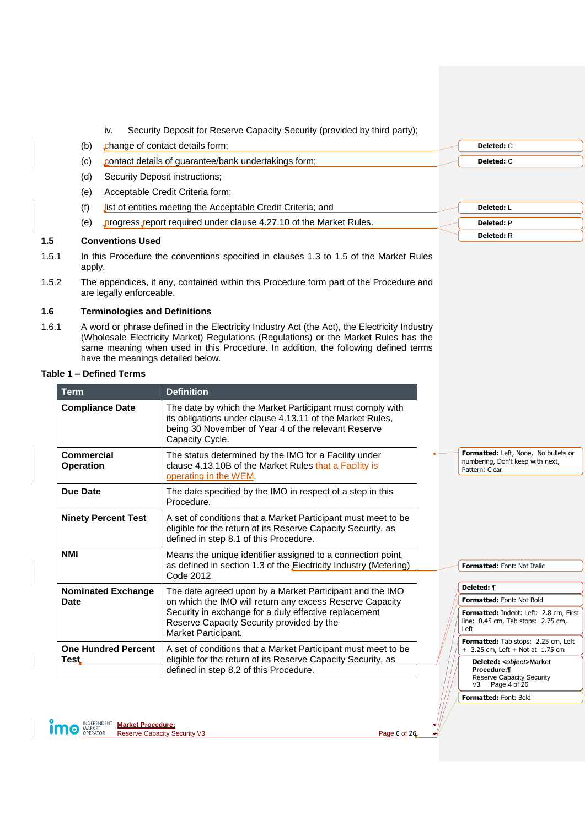- iv. Security Deposit for Reserve Capacity Security (provided by third party);
- (b) change of contact details form;
- (c) contact details of guarantee/bank undertakings form;
- (d) Security Deposit instructions;
- (e) Acceptable Credit Criteria form;
- (f) list of entities meeting the Acceptable Credit Criteria; and
- (e) progress report required under clause 4.27.10 of the Market Rules.

# <span id="page-5-0"></span>**1.5 Conventions Used**

- 1.5.1 In this Procedure the conventions specified in clauses 1.3 to 1.5 of the Market Rules apply.
- 1.5.2 The appendices, if any, contained within this Procedure form part of the Procedure and are legally enforceable.

# <span id="page-5-1"></span>**1.6 Terminologies and Definitions**

1.6.1 A word or phrase defined in the Electricity Industry Act (the Act), the Electricity Industry (Wholesale Electricity Market) Regulations (Regulations) or the Market Rules has the same meaning when used in this Procedure. In addition, the following defined terms have the meanings detailed below.

#### **Table 1 – Defined Terms**

| <b>Term</b>                    | <b>Definition</b>                                                                                                                                                                                |  |                                                                                                |
|--------------------------------|--------------------------------------------------------------------------------------------------------------------------------------------------------------------------------------------------|--|------------------------------------------------------------------------------------------------|
| <b>Compliance Date</b>         | The date by which the Market Participant must comply with<br>its obligations under clause 4.13.11 of the Market Rules,<br>being 30 November of Year 4 of the relevant Reserve<br>Capacity Cycle. |  |                                                                                                |
| Commercial<br><b>Operation</b> | The status determined by the IMO for a Facility under<br>clause 4.13.10B of the Market Rules that a Facility is<br>operating in the WEM.                                                         |  | Formatted: Left, None, No bullets or<br>numbering, Don't keep with next,<br>Pattern: Clear     |
| Due Date                       | The date specified by the IMO in respect of a step in this<br>Procedure.                                                                                                                         |  |                                                                                                |
| <b>Ninety Percent Test</b>     | A set of conditions that a Market Participant must meet to be<br>eligible for the return of its Reserve Capacity Security, as<br>defined in step 8.1 of this Procedure.                          |  |                                                                                                |
| <b>NMI</b>                     | Means the unique identifier assigned to a connection point,<br>as defined in section 1.3 of the Electricity Industry (Metering)<br>Code 2012.                                                    |  | <b>Formatted: Font: Not Italic</b>                                                             |
| <b>Nominated Exchange</b>      | The date agreed upon by a Market Participant and the IMO                                                                                                                                         |  | Deleted: ¶                                                                                     |
| <b>Date</b>                    | on which the IMO will return any excess Reserve Capacity                                                                                                                                         |  | <b>Formatted: Font: Not Bold</b>                                                               |
|                                | Security in exchange for a duly effective replacement<br>Reserve Capacity Security provided by the<br>Market Participant.                                                                        |  | Formatted: Indent: Left: 2.8 cm, First<br>line: 0.45 cm, Tab stops: 2.75 cm,<br>Left           |
| <b>One Hundred Percent</b>     | A set of conditions that a Market Participant must meet to be                                                                                                                                    |  | Formatted: Tab stops: 2.25 cm, Left<br>$+ 3.25$ cm, Left $+$ Not at 1.75 cm                    |
| Test                           | eligible for the return of its Reserve Capacity Security, as<br>defined in step 8.2 of this Procedure.                                                                                           |  | Deleted: < object>Market<br>Procedure:¶<br><b>Reserve Capacity Security</b><br>V3 Page 4 of 26 |

**Formatted:** Font: Bold

**Deleted:** C **Deleted:** C

**Deleted:** L **Deleted:** P **Deleted:** R

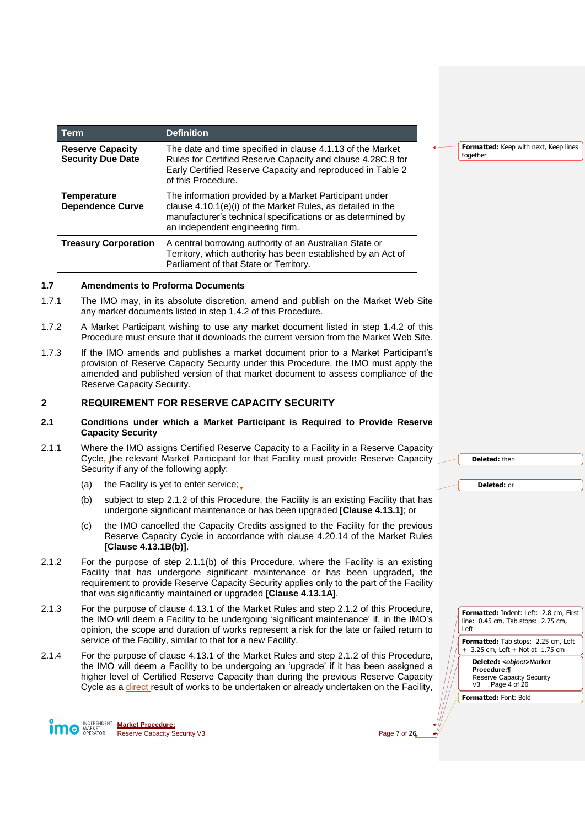| Term                                                | <b>Definition</b>                                                                                                                                                                                                        |
|-----------------------------------------------------|--------------------------------------------------------------------------------------------------------------------------------------------------------------------------------------------------------------------------|
| <b>Reserve Capacity</b><br><b>Security Due Date</b> | The date and time specified in clause 4.1.13 of the Market<br>Rules for Certified Reserve Capacity and clause 4.28C.8 for<br>Early Certified Reserve Capacity and reproduced in Table 2<br>of this Procedure.            |
| Temperature<br><b>Dependence Curve</b>              | The information provided by a Market Participant under<br>clause 4.10.1(e)(i) of the Market Rules, as detailed in the<br>manufacturer's technical specifications or as determined by<br>an independent engineering firm. |
| <b>Treasury Corporation</b>                         | A central borrowing authority of an Australian State or<br>Territory, which authority has been established by an Act of<br>Parliament of that State or Territory.                                                        |

#### <span id="page-6-0"></span>**1.7 Amendments to Proforma Documents**

- 1.7.1 The IMO may, in its absolute discretion, amend and publish on the Market Web Site any market documents listed in step [1.4.2](#page-4-5) of this Procedure.
- 1.7.2 A Market Participant wishing to use any market document listed in step [1.4.2](#page-4-5) of this Procedure must ensure that it downloads the current version from the Market Web Site.
- 1.7.3 If the IMO amends and publishes a market document prior to a Market Participant's provision of Reserve Capacity Security under this Procedure, the IMO must apply the amended and published version of that market document to assess compliance of the Reserve Capacity Security.

# <span id="page-6-1"></span>**2 REQUIREMENT FOR RESERVE CAPACITY SECURITY**

#### <span id="page-6-2"></span>**2.1 Conditions under which a Market Participant is Required to Provide Reserve Capacity Security**

- <span id="page-6-4"></span>2.1.1 Where the IMO assigns Certified Reserve Capacity to a Facility in a Reserve Capacity Cycle, the relevant Market Participant for that Facility must provide Reserve Capacity Security if any of the following apply:
	- (a) the Facility is yet to enter service;
	- (b) subject to step [2.1.2](#page-6-3) of this Procedure, the Facility is an existing Facility that has undergone significant maintenance or has been upgraded **[Clause 4.13.1]**; or
	- (c) the IMO cancelled the Capacity Credits assigned to the Facility for the previous Reserve Capacity Cycle in accordance with clause 4.20.14 of the Market Rules **[Clause 4.13.1B(b)]**.
- <span id="page-6-3"></span>2.1.2 For the purpose of step [2.1.1\(b\)](#page-6-4) of this Procedure, where the Facility is an existing Facility that has undergone significant maintenance or has been upgraded, the requirement to provide Reserve Capacity Security applies only to the part of the Facility that was significantly maintained or upgraded **[Clause 4.13.1A]**.
- 2.1.3 For the purpose of clause 4.13.1 of the Market Rules and step [2.1.2](#page-6-3) of this Procedure, the IMO will deem a Facility to be undergoing 'significant maintenance' if, in the IMO's opinion, the scope and duration of works represent a risk for the late or failed return to service of the Facility, similar to that for a new Facility.
- 2.1.4 For the purpose of clause 4.13.1 of the Market Rules and step [2.1.2](#page-6-3) of this Procedure, the IMO will deem a Facility to be undergoing an 'upgrade' if it has been assigned a higher level of Certified Reserve Capacity than during the previous Reserve Capacity Cycle as a direct result of works to be undertaken or already undertaken on the Facility,

**Formatted:** Keep with next, Keep lines together

**Deleted:** then

**Deleted:** or

**Formatted:** Indent: Left: 2.8 cm, First line: 0.45 cm, Tab stops: 2.75 cm, Left

**Formatted:** Tab stops: 2.25 cm, Left + 3.25 cm, Left + Not at 1.75 cm

**Deleted:** *<object>***Market Procedure:¶** Reserve Capacity Security V3 Page 4 of 26

**Formatted:** Font: Bold

**Market Procedure: O** MARKET Reserve Capacity Security V3 Page 7 of 26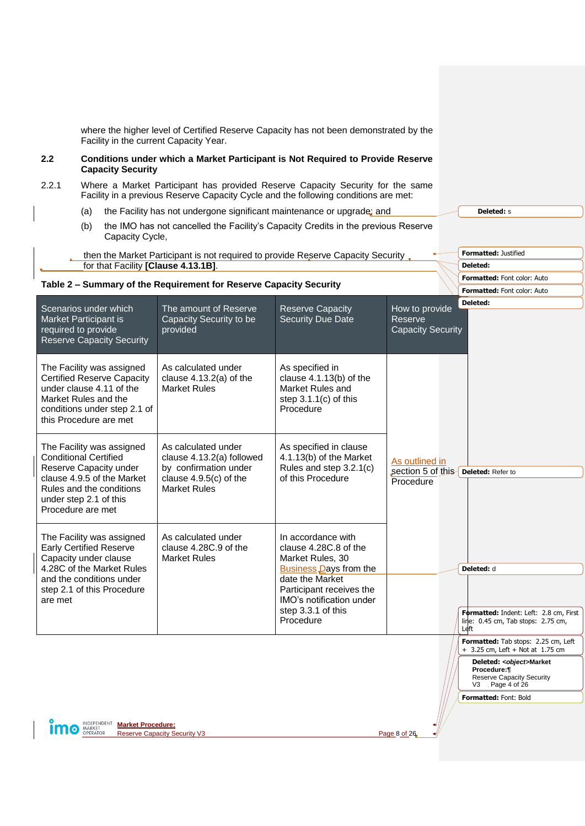<span id="page-7-0"></span>

| 2.2<br>2.2.1 | Facility in the current Capacity Year.<br><b>Capacity Security</b><br>(a)<br>(b)<br>Capacity Cycle,<br>for that Facility [Clause 4.13.1B].                                                   | where the higher level of Certified Reserve Capacity has not been demonstrated by the<br><b>Conditions under which a Market Participant is Not Required to Provide Reserve</b><br>Where a Market Participant has provided Reserve Capacity Security for the same<br>Facility in a previous Reserve Capacity Cycle and the following conditions are met:<br>the Facility has not undergone significant maintenance or upgrade; and<br>the IMO has not cancelled the Facility's Capacity Credits in the previous Reserve<br>then the Market Participant is not required to provide Reserve Capacity Security, |                                                                                                                                                                                                         |                                                                    | <b>Deleted: s</b><br><b>Formatted: Justified</b><br>Deleted:                                                                                                                                           |
|--------------|----------------------------------------------------------------------------------------------------------------------------------------------------------------------------------------------|-------------------------------------------------------------------------------------------------------------------------------------------------------------------------------------------------------------------------------------------------------------------------------------------------------------------------------------------------------------------------------------------------------------------------------------------------------------------------------------------------------------------------------------------------------------------------------------------------------------|---------------------------------------------------------------------------------------------------------------------------------------------------------------------------------------------------------|--------------------------------------------------------------------|--------------------------------------------------------------------------------------------------------------------------------------------------------------------------------------------------------|
|              |                                                                                                                                                                                              | Table 2 - Summary of the Requirement for Reserve Capacity Security                                                                                                                                                                                                                                                                                                                                                                                                                                                                                                                                          |                                                                                                                                                                                                         |                                                                    | <b>Formatted: Font color: Auto</b>                                                                                                                                                                     |
|              |                                                                                                                                                                                              |                                                                                                                                                                                                                                                                                                                                                                                                                                                                                                                                                                                                             |                                                                                                                                                                                                         |                                                                    | Formatted: Font color: Auto                                                                                                                                                                            |
|              | Scenarios under which<br><b>Market Participant is</b><br>required to provide<br><b>Reserve Capacity Security</b>                                                                             | The amount of Reserve<br>Capacity Security to be<br>provided                                                                                                                                                                                                                                                                                                                                                                                                                                                                                                                                                | <b>Reserve Capacity</b><br>Security Due Date                                                                                                                                                            | How to provide<br>Reserve<br><b>Capacity Security</b>              | Deleted:                                                                                                                                                                                               |
|              | The Facility was assigned<br><b>Certified Reserve Capacity</b><br>under clause 4.11 of the<br>Market Rules and the<br>conditions under step 2.1 of<br>this Procedure are met                 | As calculated under<br>clause $4.13.2(a)$ of the<br><b>Market Rules</b>                                                                                                                                                                                                                                                                                                                                                                                                                                                                                                                                     | As specified in<br>clause 4.1.13(b) of the<br>Market Rules and<br>step $3.1.1(c)$ of this<br>Procedure                                                                                                  |                                                                    |                                                                                                                                                                                                        |
|              | The Facility was assigned<br><b>Conditional Certified</b><br>Reserve Capacity under<br>clause 4.9.5 of the Market<br>Rules and the conditions<br>under step 2.1 of this<br>Procedure are met | As calculated under<br>clause 4.13.2(a) followed<br>by confirmation under<br>clause $4.9.5(c)$ of the<br><b>Market Rules</b>                                                                                                                                                                                                                                                                                                                                                                                                                                                                                | As specified in clause<br>4.1.13(b) of the Market<br>Rules and step 3.2.1(c)<br>of this Procedure                                                                                                       | As outlined in<br>section 5 of this Deleted: Refer to<br>Procedure |                                                                                                                                                                                                        |
| are met      | The Facility was assigned<br><b>Early Certified Reserve</b><br>Capacity under clause<br>4.28C of the Market Rules<br>and the conditions under<br>step 2.1 of this Procedure                  | As calculated under<br>clause 4.28C.9 of the<br><b>Market Rules</b>                                                                                                                                                                                                                                                                                                                                                                                                                                                                                                                                         | In accordance with<br>clause 4.28C.8 of the<br>Market Rules, 30<br>Business Days from the<br>date the Market<br>Participant receives the<br>IMO's notification under<br>step 3.3.1 of this<br>Procedure |                                                                    | Deleted: d<br>Formatted: Indent: Left: 2.8 cm, First<br>line: 0.45 cm, Tab stops: 2.75 cm,<br>Left                                                                                                     |
| <b>O</b>     | INDEPENDENT<br><b>Market Procedure:</b><br>MARKET<br>OPERATOR                                                                                                                                | <b>Reserve Capacity Security V3</b>                                                                                                                                                                                                                                                                                                                                                                                                                                                                                                                                                                         |                                                                                                                                                                                                         | Page 8 of 26                                                       | Formatted: Tab stops: 2.25 cm, Left<br>$+ 3.25$ cm, Left $+$ Not at 1.75 cm<br>Deleted: < object>Market<br>Procedure:¶<br><b>Reserve Capacity Security</b><br>V3 Page 4 of 26<br>Formatted: Font: Bold |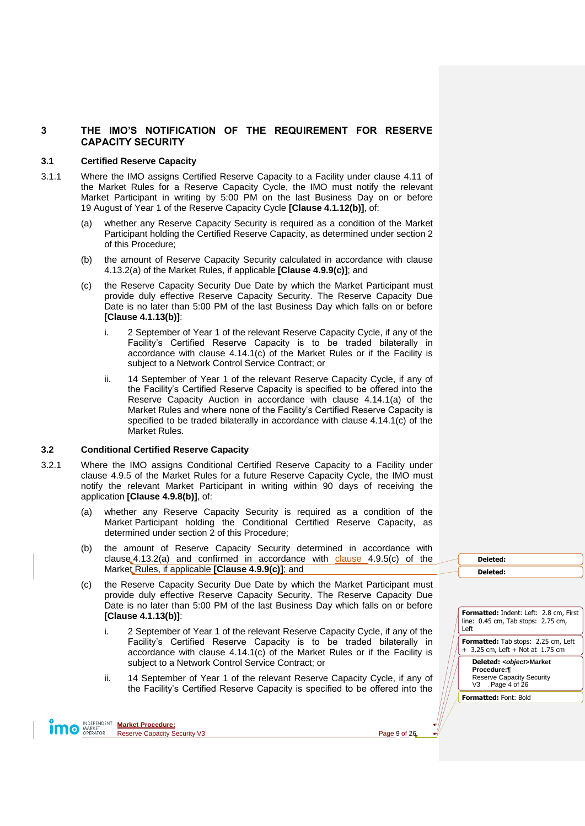# <span id="page-8-0"></span>**3 THE IMO'S NOTIFICATION OF THE REQUIREMENT FOR RESERVE CAPACITY SECURITY**

#### <span id="page-8-1"></span>**3.1 Certified Reserve Capacity**

- <span id="page-8-5"></span><span id="page-8-3"></span>3.1.1 Where the IMO assigns Certified Reserve Capacity to a Facility under clause 4.11 of the Market Rules for a Reserve Capacity Cycle, the IMO must notify the relevant Market Participant in writing by 5:00 PM on the last Business Day on or before 19 August of Year 1 of the Reserve Capacity Cycle **[Clause 4.1.12(b)]**, of:
	- (a) whether any Reserve Capacity Security is required as a condition of the Market Participant holding the Certified Reserve Capacity, as determined under section [2](#page-6-1) of this Procedure;
	- (b) the amount of Reserve Capacity Security calculated in accordance with clause 4.13.2(a) of the Market Rules, if applicable **[Clause 4.9.9(c)]**; and
	- (c) the Reserve Capacity Security Due Date by which the Market Participant must provide duly effective Reserve Capacity Security. The Reserve Capacity Due Date is no later than 5:00 PM of the last Business Day which falls on or before **[Clause 4.1.13(b)]**:
		- i. 2 September of Year 1 of the relevant Reserve Capacity Cycle, if any of the Facility's Certified Reserve Capacity is to be traded bilaterally in accordance with clause 4.14.1(c) of the Market Rules or if the Facility is subject to a Network Control Service Contract; or
		- ii. 14 September of Year 1 of the relevant Reserve Capacity Cycle, if any of the Facility's Certified Reserve Capacity is specified to be offered into the Reserve Capacity Auction in accordance with clause 4.14.1(a) of the Market Rules and where none of the Facility's Certified Reserve Capacity is specified to be traded bilaterally in accordance with clause 4.14.1(c) of the Market Rules.

### <span id="page-8-2"></span>**3.2 Conditional Certified Reserve Capacity**

- <span id="page-8-6"></span><span id="page-8-4"></span>3.2.1 Where the IMO assigns Conditional Certified Reserve Capacity to a Facility under clause 4.9.5 of the Market Rules for a future Reserve Capacity Cycle, the IMO must notify the relevant Market Participant in writing within 90 days of receiving the application **[Clause 4.9.8(b)]**, of:
	- (a) whether any Reserve Capacity Security is required as a condition of the Market Participant holding the Conditional Certified Reserve Capacity, as determined under section [2](#page-6-1) of this Procedure;
	- (b) the amount of Reserve Capacity Security determined in accordance with clause  $4.13.2(a)$  and confirmed in accordance with clause  $4.9.5(c)$  of the Market Rules, if applicable **[Clause 4.9.9(c)]**; and
	- (c) the Reserve Capacity Security Due Date by which the Market Participant must provide duly effective Reserve Capacity Security. The Reserve Capacity Due Date is no later than 5:00 PM of the last Business Day which falls on or before **[Clause 4.1.13(b)]**:
		- i. 2 September of Year 1 of the relevant Reserve Capacity Cycle, if any of the Facility's Certified Reserve Capacity is to be traded bilaterally in accordance with clause 4.14.1(c) of the Market Rules or if the Facility is subject to a Network Control Service Contract; or
		- ii. 14 September of Year 1 of the relevant Reserve Capacity Cycle, if any of the Facility's Certified Reserve Capacity is specified to be offered into the

**Deleted: Deleted:** 

| <b>Formatted: Indent: Left: 2.8 cm, First</b><br>line: 0.45 cm, Tab stops: 2.75 cm,<br>Left               |
|-----------------------------------------------------------------------------------------------------------|
| <b>Formatted:</b> Tab stops: 2.25 cm, Left<br>+ 3.25 cm, Left + Not at 1.75 cm                            |
| Deleted: <object>Market<br/>Procedure:¶<br/><b>Reserve Capacity Security</b><br/>V3 Page 4 of 26</object> |
| <b>Formatted: Font: Bold</b>                                                                              |

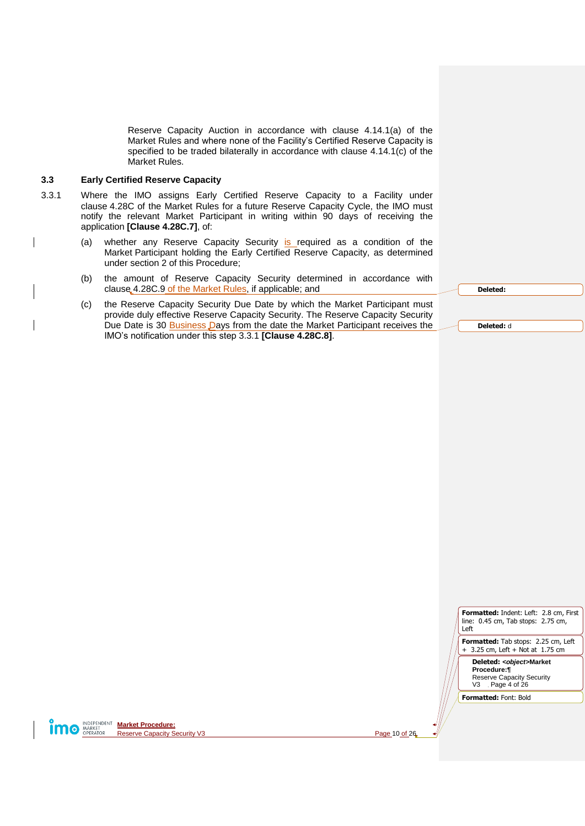Reserve Capacity Auction in accordance with clause 4.14.1(a) of the Market Rules and where none of the Facility's Certified Reserve Capacity is specified to be traded bilaterally in accordance with clause 4.14.1(c) of the Market Rules.

#### <span id="page-9-0"></span>**3.3 Early Certified Reserve Capacity**

- <span id="page-9-1"></span>3.3.1 Where the IMO assigns Early Certified Reserve Capacity to a Facility under clause 4.28C of the Market Rules for a future Reserve Capacity Cycle, the IMO must notify the relevant Market Participant in writing within 90 days of receiving the application **[Clause 4.28C.7]**, of:
	- (a) whether any Reserve Capacity Security is required as a condition of the Market Participant holding the Early Certified Reserve Capacity, as determined under section [2](#page-6-1) of this Procedure;
	- (b) the amount of Reserve Capacity Security determined in accordance with clause 4.28C.9 of the Market Rules, if applicable; and
	- (c) the Reserve Capacity Security Due Date by which the Market Participant must provide duly effective Reserve Capacity Security. The Reserve Capacity Security Due Date is 30 **Business Days from the date the Market Participant receives the** IMO's notification under this step [3.3.1](#page-9-1) **[Clause 4.28C.8]**.

| . .<br>.<br>. .<br>. . |
|------------------------|
|                        |

**Deleted:** d

| <b>Formatted:</b> Indent: Left: 2.8 cm, First<br>line: 0.45 cm, Tab stops: 2.75 cm,<br>$\parallel$ Left |
|---------------------------------------------------------------------------------------------------------|
| Formatted: Tab stops: $2.25$ cm, Left                                                                   |

+ 3.25 cm, Left + Not at 1.75 cm

**Deleted:** *<object>***Market Procedure:¶** Reserve Capacity Security V3 Page 4 of 26

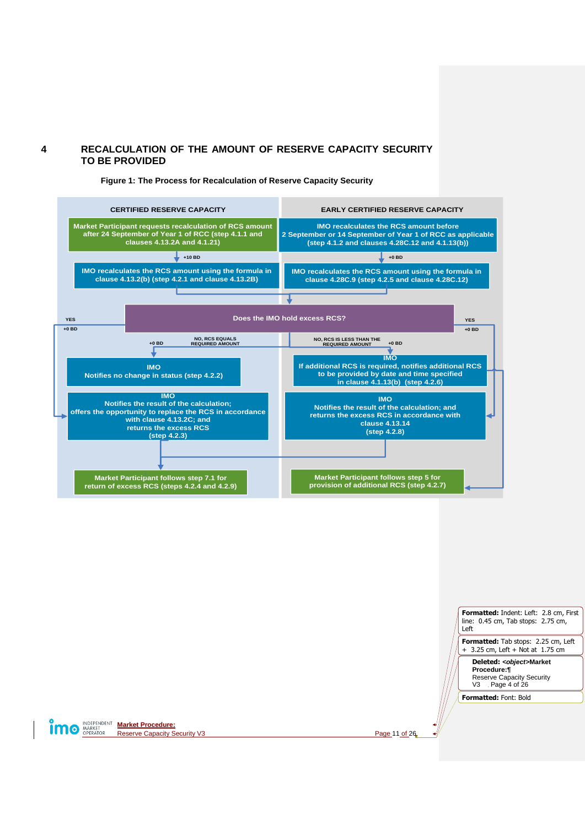# <span id="page-10-0"></span>**4 RECALCULATION OF THE AMOUNT OF RESERVE CAPACITY SECURITY TO BE PROVIDED**

<span id="page-10-1"></span>

**Figure 1: The Process for Recalculation of Reserve Capacity Security**



**MO MARKET Market Procedure:**<br> **MARKET Reserve Capacity S** Reserve Capacity Security V3 Page 11 of 26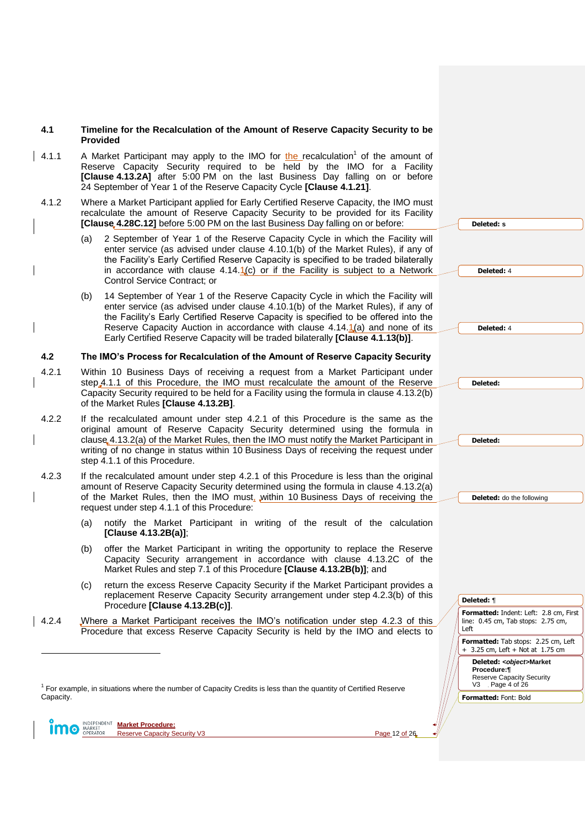### <span id="page-11-0"></span>**4.1 Timeline for the Recalculation of the Amount of Reserve Capacity Security to be Provided**

- <span id="page-11-2"></span>4.1.1 A Market Participant may apply to the IMO for the recalculation<sup>1</sup> of the amount of Reserve Capacity Security required to be held by the IMO for a Facility **[Clause 4.13.2A]** after 5:00 PM on the last Business Day falling on or before 24 September of Year 1 of the Reserve Capacity Cycle **[Clause 4.1.21]**.
- <span id="page-11-6"></span>4.1.2 Where a Market Participant applied for Early Certified Reserve Capacity, the IMO must recalculate the amount of Reserve Capacity Security to be provided for its Facility **[Clause 4.28C.12]** before 5:00 PM on the last Business Day falling on or before:
	- 2 September of Year 1 of the Reserve Capacity Cycle in which the Facility will enter service (as advised under clause 4.10.1(b) of the Market Rules), if any of the Facility's Early Certified Reserve Capacity is specified to be traded bilaterally in accordance with clause  $4.14 \cdot 1(c)$  or if the Facility is subject to a Network Control Service Contract; or
	- (b) 14 September of Year 1 of the Reserve Capacity Cycle in which the Facility will enter service (as advised under clause 4.10.1(b) of the Market Rules), if any of the Facility's Early Certified Reserve Capacity is specified to be offered into the Reserve Capacity Auction in accordance with clause  $4.14.1(a)$  and none of its Early Certified Reserve Capacity will be traded bilaterally **[Clause 4.1.13(b)]**.

#### <span id="page-11-1"></span>**4.2 The IMO's Process for Recalculation of the Amount of Reserve Capacity Security**

- <span id="page-11-3"></span>4.2.1 Within 10 Business Days of receiving a request from a Market Participant under step [4.1.1](#page-11-2) of this Procedure, the IMO must recalculate the amount of the Reserve Capacity Security required to be held for a Facility using the formula in clause 4.13.2(b) of the Market Rules **[Clause 4.13.2B]**.
- <span id="page-11-8"></span>4.2.2 If the recalculated amount under step [4.2.1](#page-11-3) of this Procedure is the same as the original amount of Reserve Capacity Security determined using the formula in clause 4.13.2(a) of the Market Rules, then the IMO must notify the Market Participant in writing of no change in status within 10 Business Days of receiving the request under ste[p 4.1.1](#page-11-2) of this Procedure.
- <span id="page-11-5"></span><span id="page-11-4"></span>4.2.3 If the recalculated amount under step [4.2.1](#page-11-3) of this Procedure is less than the original amount of Reserve Capacity Security determined using the formula in clause 4.13.2(a) of the Market Rules, then the IMO must, within 10 Business Days of receiving the request under step [4.1.1](#page-11-2) of this Procedure:
	- (a) notify the Market Participant in writing of the result of the calculation **[Clause 4.13.2B(a)]**;
	- (b) offer the Market Participant in writing the opportunity to replace the Reserve Capacity Security arrangement in accordance with clause 4.13.2C of the Market Rules and ste[p 7.1](#page-19-1) of this Procedure **[Clause 4.13.2B(b)]**; and
	- (c) return the excess Reserve Capacity Security if the Market Participant provides a replacement Reserve Capacity Security arrangement under step [4.2.3\(b\)](#page-11-4) of this Procedure **[Clause 4.13.2B(c)]**.
- <span id="page-11-7"></span>4.2.4 Where a Market Participant receives the IMO's notification under step [4.2.3](#page-11-5) of this Procedure that excess Reserve Capacity Security is held by the IMO and elects to

<sup>1</sup> For example, in situations where the number of Capacity Credits is less than the quantity of Certified Reserve Capacity.

**Market Procedure:** MARKET Reserve Capacity Security V3 Page 12 of 26

 $\overline{a}$ 

**Formatted:** Indent: Left: 2.8 cm, First line: 0.45 cm, Tab stops: 2.75 cm, Left **Formatted:** Tab stops: 2.25 cm, Left + 3.25 cm, Left + Not at 1.75 cm **Deleted:** *<object>***Market Procedure:¶** Reserve Capacity Security V3 Page 4 of 26 **Formatted:** Font: Bold **Deleted:** 4 **Deleted:** 4 **Deleted: Deleted: Deleted:** do the following **Deleted:** ¶

**Deleted: s**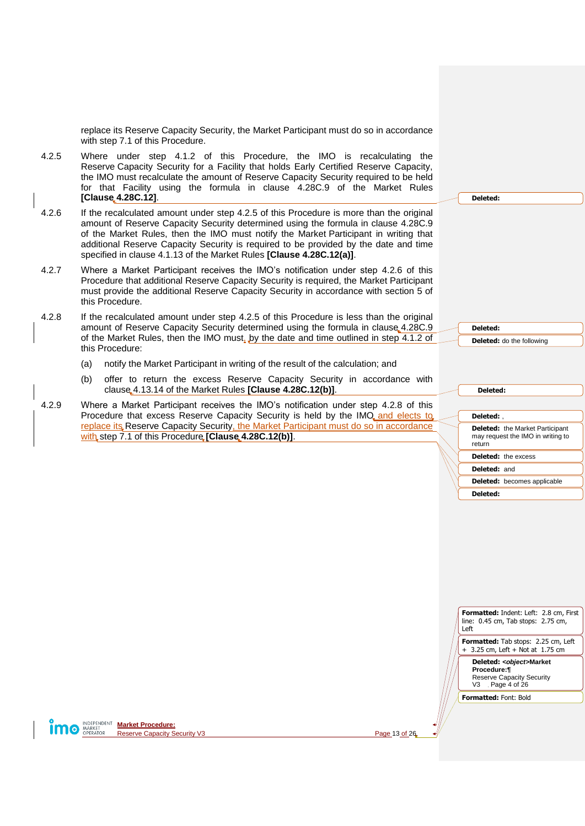replace its Reserve Capacity Security, the Market Participant must do so in accordance with step [7.1](#page-19-1) of this Procedure.

- <span id="page-12-0"></span>4.2.5 Where under step [4.1.2](#page-11-6) of this Procedure, the IMO is recalculating the Reserve Capacity Security for a Facility that holds Early Certified Reserve Capacity, the IMO must recalculate the amount of Reserve Capacity Security required to be held for that Facility using the formula in clause 4.28C.9 of the Market Rules **[Clause 4.28C.12]**.
- <span id="page-12-1"></span>4.2.6 If the recalculated amount under step [4.2.5](#page-12-0) of this Procedure is more than the original amount of Reserve Capacity Security determined using the formula in clause 4.28C.9 of the Market Rules, then the IMO must notify the Market Participant in writing that additional Reserve Capacity Security is required to be provided by the date and time specified in clause 4.1.13 of the Market Rules **[Clause 4.28C.12(a)]**.
- 4.2.7 Where a Market Participant receives the IMO's notification under step [4.2.6](#page-12-1) of this Procedure that additional Reserve Capacity Security is required, the Market Participant must provide the additional Reserve Capacity Security in accordance with section [5](#page-13-0) of this Procedure.
- <span id="page-12-2"></span>4.2.8 If the recalculated amount under step [4.2.5](#page-12-0) of this Procedure is less than the original amount of Reserve Capacity Security determined using the formula in clause 4.28C.9 of the Market Rules, then the IMO must, by the date and time outlined in step [4.1.2](#page-11-6) of this Procedure:
	- (a) notify the Market Participant in writing of the result of the calculation; and
	- (b) offer to return the excess Reserve Capacity Security in accordance with clause 4.13.14 of the Market Rules **[Clause 4.28C.12(b)]**.
- <span id="page-12-3"></span>4.2.9 Where a Market Participant receives the IMO's notification under step [4.2.8](#page-12-2) of this Procedure that excess Reserve Capacity Security is held by the IMO and elects to replace its Reserve Capacity Security, the Market Participant must do so in accordance with step [7.1](#page-19-1) of this Procedure **[Clause 4.28C.12(b)]**.

**Deleted:** 

**Deleted: Deleted:** do the following

| Deleted:                                                                              |
|---------------------------------------------------------------------------------------|
|                                                                                       |
| Deleted:                                                                              |
| <b>Deleted:</b> the Market Participant<br>may request the IMO in writing to<br>return |
| <b>Deleted:</b> the excess                                                            |
| <b>Deleted: and</b>                                                                   |
| <b>Deleted:</b> becomes applicable                                                    |
| Deleted:                                                                              |
|                                                                                       |

| <b>Formatted:</b> Indent: Left: 2.8 cm, First  <br>line: 0.45 cm, Tab stops: 2.75 cm,<br>Left |
|-----------------------------------------------------------------------------------------------|
| <b>Formatted:</b> Tab stops: 2.25 cm, Left<br>$+$ 3.25 cm, Left $+$ Not at 1.75 cm            |
| Deleted: <object>Market<br/>Procedure:¶</object>                                              |

Reserve Capacity Security V3 Page 4 of 26

**Formatted:** Font: Bold

**Market Procedure: 10** MARKET Reserve Capacity Security V3 Page 13 of 26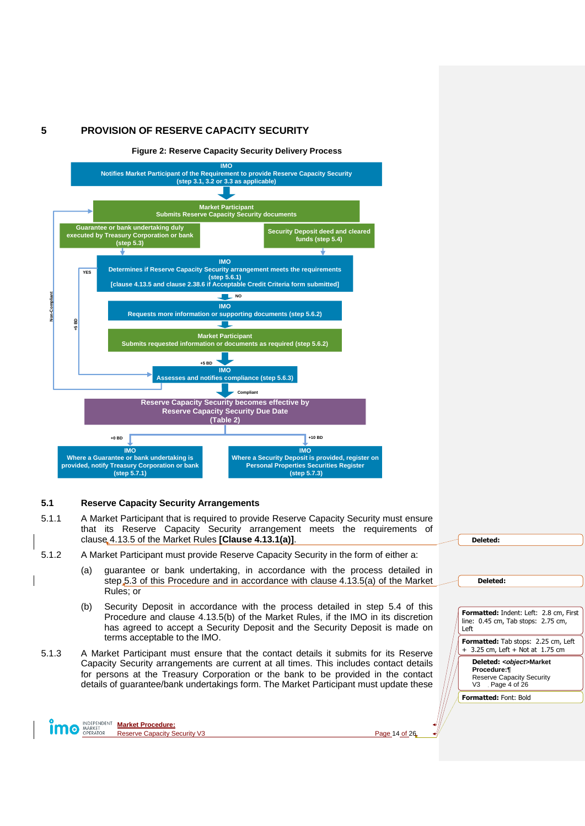# <span id="page-13-0"></span>**5 PROVISION OF RESERVE CAPACITY SECURITY**

<span id="page-13-2"></span>

#### <span id="page-13-1"></span>**5.1 Reserve Capacity Security Arrangements**

- 5.1.1 A Market Participant that is required to provide Reserve Capacity Security must ensure that its Reserve Capacity Security arrangement meets the requirements of clause 4.13.5 of the Market Rules **[Clause 4.13.1(a)]**.
- <span id="page-13-3"></span>5.1.2 A Market Participant must provide Reserve Capacity Security in the form of either a:
	- (a) guarantee or bank undertaking, in accordance with the process detailed in step [5.3](#page-14-1) of this Procedure and in accordance with clause 4.13.5(a) of the Market Rules; or
	- (b) Security Deposit in accordance with the process detailed in step [5.4](#page-15-0) of this Procedure and clause 4.13.5(b) of the Market Rules, if the IMO in its discretion has agreed to accept a Security Deposit and the Security Deposit is made on terms acceptable to the IMO.
- 5.1.3 A Market Participant must ensure that the contact details it submits for its Reserve Capacity Security arrangements are current at all times. This includes contact details for persons at the Treasury Corporation or the bank to be provided in the contact details of guarantee/bank undertakings form. The Market Participant must update these

| Deleted:                                        |
|-------------------------------------------------|
|                                                 |
|                                                 |
|                                                 |
| Deleted:                                        |
|                                                 |
|                                                 |
| <b>Formatted:</b> Indent: Left: 2.8 cm, First   |
| line: 0.45 cm, Tab stops: 2.75 cm,<br>Left      |
|                                                 |
| <b>Formatted:</b> Tab stops: 2.25 cm, Left      |
| + 3.25 cm, Left + Not at 1.75 cm                |
| Deleted: <object>Market</object>                |
| Procedure:¶<br><b>Reserve Capacity Security</b> |
| V3 Page 4 of 26                                 |
| <b>Formatted: Font: Bold</b>                    |
|                                                 |
|                                                 |



**MODEPENDENT Market Procedure:** Reserve Capacity Security V3 Page 14 of 26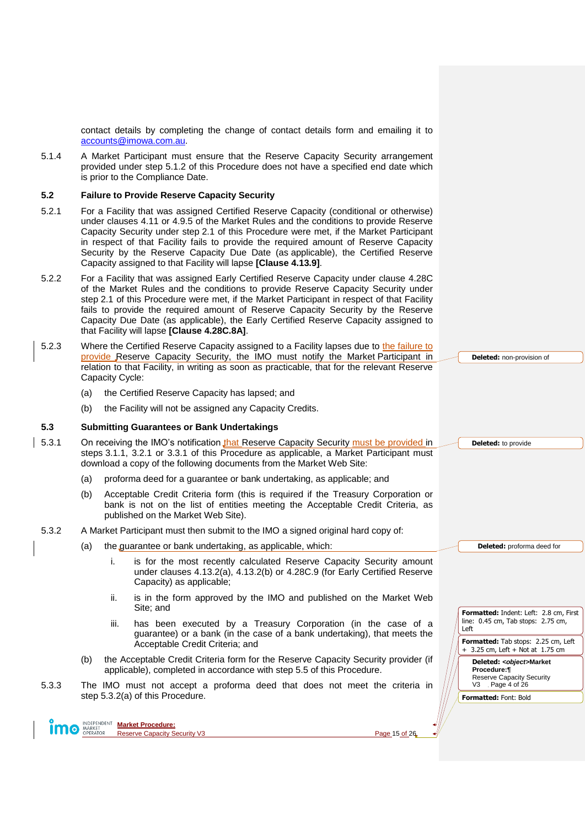contact details by completing the change of contact details form and emailing it to [accounts@imowa.com.au.](mailto:accounts@imowa.com.au)

5.1.4 A Market Participant must ensure that the Reserve Capacity Security arrangement provided under step [5.1.2](#page-13-3) of this Procedure does not have a specified end date which is prior to the Compliance Date.

#### <span id="page-14-0"></span>**5.2 Failure to Provide Reserve Capacity Security**

- 5.2.1 For a Facility that was assigned Certified Reserve Capacity (conditional or otherwise) under clauses 4.11 or 4.9.5 of the Market Rules and the conditions to provide Reserve Capacity Security under step [2.1](#page-6-2) of this Procedure were met, if the Market Participant in respect of that Facility fails to provide the required amount of Reserve Capacity Security by the Reserve Capacity Due Date (as applicable), the Certified Reserve Capacity assigned to that Facility will lapse **[Clause 4.13.9]**.
- 5.2.2 For a Facility that was assigned Early Certified Reserve Capacity under clause 4.28C of the Market Rules and the conditions to provide Reserve Capacity Security under step [2.1](#page-6-2) of this Procedure were met, if the Market Participant in respect of that Facility fails to provide the required amount of Reserve Capacity Security by the Reserve Capacity Due Date (as applicable), the Early Certified Reserve Capacity assigned to that Facility will lapse **[Clause 4.28C.8A]**.
- 5.2.3 Where the Certified Reserve Capacity assigned to a Facility lapses due to the failure to provide Reserve Capacity Security, the IMO must notify the Market Participant in relation to that Facility, in writing as soon as practicable, that for the relevant Reserve Capacity Cycle:
	- (a) the Certified Reserve Capacity has lapsed; and
	- (b) the Facility will not be assigned any Capacity Credits.

#### <span id="page-14-1"></span>**5.3 Submitting Guarantees or Bank Undertakings**

- 5.3.1 On receiving the IMO's notification that Reserve Capacity Security must be provided in steps [3.1.1,](#page-8-5) [3.2.1](#page-8-6) or [3.3.1](#page-9-1) of this Procedure as applicable, a Market Participant must download a copy of the following documents from the Market Web Site:
	- (a) proforma deed for a guarantee or bank undertaking, as applicable; and
	- (b) Acceptable Credit Criteria form (this is required if the Treasury Corporation or bank is not on the list of entities meeting the Acceptable Credit Criteria, as published on the Market Web Site).

#### <span id="page-14-2"></span>5.3.2 A Market Participant must then submit to the IMO a signed original hard copy of:

- (a) the guarantee or bank undertaking, as applicable, which:
	- i. is for the most recently calculated Reserve Capacity Security amount under clauses 4.13.2(a), 4.13.2(b) or 4.28C.9 (for Early Certified Reserve Capacity) as applicable;
	- ii. is in the form approved by the IMO and published on the Market Web Site; and
	- iii. has been executed by a Treasury Corporation (in the case of a guarantee) or a bank (in the case of a bank undertaking), that meets the Acceptable Credit Criteria; and
	- (b) the Acceptable Credit Criteria form for the Reserve Capacity Security provider (if applicable), completed in accordance with step [5.5](#page-16-0) of this Procedure.
- 5.3.3 The IMO must not accept a proforma deed that does not meet the criteria in step [5.3.2\(a\)](#page-14-2) of this Procedure.



**Market Procedure: O MARKET** Reserve Capacity Security V3 Page 15 of 26

**Deleted:** non-provision of

**Deleted:** to provide

**Deleted:** proforma deed for

**Formatted:** Indent: Left: 2.8 cm, First line: 0.45 cm, Tab stops: 2.75 cm, Left

**Formatted:** Tab stops: 2.25 cm, Left + 3.25 cm, Left + Not at 1.75 cm

**Deleted:** *<object>***Market Procedure:¶** Reserve Capacity Security V3 Page 4 of 26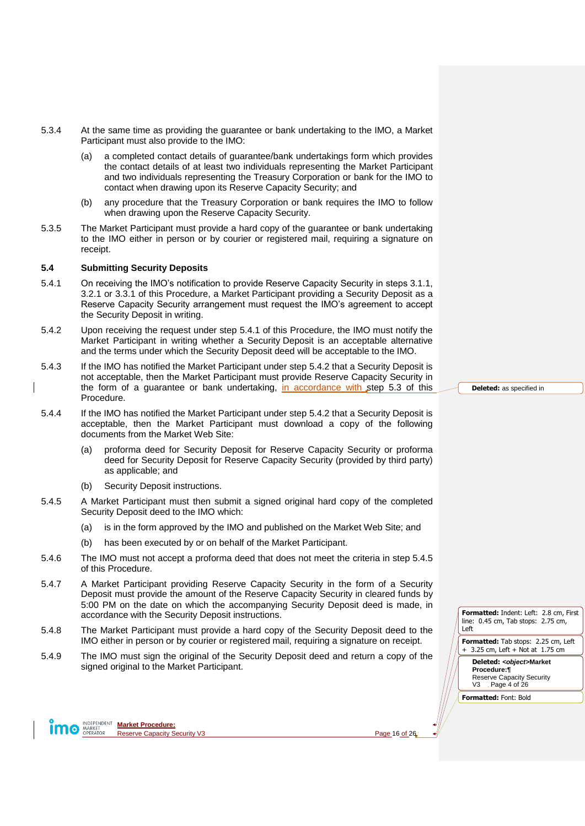- 5.3.4 At the same time as providing the guarantee or bank undertaking to the IMO, a Market Participant must also provide to the IMO:
	- (a) a completed contact details of guarantee/bank undertakings form which provides the contact details of at least two individuals representing the Market Participant and two individuals representing the Treasury Corporation or bank for the IMO to contact when drawing upon its Reserve Capacity Security; and
	- (b) any procedure that the Treasury Corporation or bank requires the IMO to follow when drawing upon the Reserve Capacity Security.
- 5.3.5 The Market Participant must provide a hard copy of the guarantee or bank undertaking to the IMO either in person or by courier or registered mail, requiring a signature on receipt.

#### <span id="page-15-0"></span>**5.4 Submitting Security Deposits**

- <span id="page-15-1"></span>5.4.1 On receiving the IMO's notification to provide Reserve Capacity Security in steps [3.1.1,](#page-8-5) [3.2.1](#page-8-6) or [3.3.1](#page-9-1) of this Procedure, a Market Participant providing a Security Deposit as a Reserve Capacity Security arrangement must request the IMO's agreement to accept the Security Deposit in writing.
- <span id="page-15-2"></span>5.4.2 Upon receiving the request under step [5.4.1](#page-15-1) of this Procedure, the IMO must notify the Market Participant in writing whether a Security Deposit is an acceptable alternative and the terms under which the Security Deposit deed will be acceptable to the IMO.
- 5.4.3 If the IMO has notified the Market Participant under step [5.4.2](#page-15-2) that a Security Deposit is not acceptable, then the Market Participant must provide Reserve Capacity Security in the form of a guarantee or bank undertaking, in accordance with step [5.3](#page-14-1) of this Procedure.
- 5.4.4 If the IMO has notified the Market Participant under step [5.4.2](#page-15-2) that a Security Deposit is acceptable, then the Market Participant must download a copy of the following documents from the Market Web Site:
	- (a) proforma deed for Security Deposit for Reserve Capacity Security or proforma deed for Security Deposit for Reserve Capacity Security (provided by third party) as applicable; and
	- (b) Security Deposit instructions.
- <span id="page-15-3"></span>5.4.5 A Market Participant must then submit a signed original hard copy of the completed Security Deposit deed to the IMO which:
	- (a) is in the form approved by the IMO and published on the Market Web Site; and
	- (b) has been executed by or on behalf of the Market Participant.
- 5.4.6 The IMO must not accept a proforma deed that does not meet the criteria in step [5.4.5](#page-15-3) of this Procedure.
- 5.4.7 A Market Participant providing Reserve Capacity Security in the form of a Security Deposit must provide the amount of the Reserve Capacity Security in cleared funds by 5:00 PM on the date on which the accompanying Security Deposit deed is made, in accordance with the Security Deposit instructions.
- 5.4.8 The Market Participant must provide a hard copy of the Security Deposit deed to the IMO either in person or by courier or registered mail, requiring a signature on receipt.
- 5.4.9 The IMO must sign the original of the Security Deposit deed and return a copy of the signed original to the Market Participant.

**Deleted:** as specified in

**Formatted:** Indent: Left: 2.8 cm, First line: 0.45 cm, Tab stops: 2.75 cm, Left

**Formatted:** Tab stops: 2.25 cm, Left + 3.25 cm, Left + Not at 1.75 cm

**Deleted:** *<object>***Market Procedure:¶** Reserve Capacity Security V3 Page 4 of 26

**Formatted:** Font: Bold

**MOREPENDENT Market Procedure:**<br> **MARKET DPERATOR**<br> **Reserve Capacity S** Reserve Capacity Security V3 **Page 16** of 26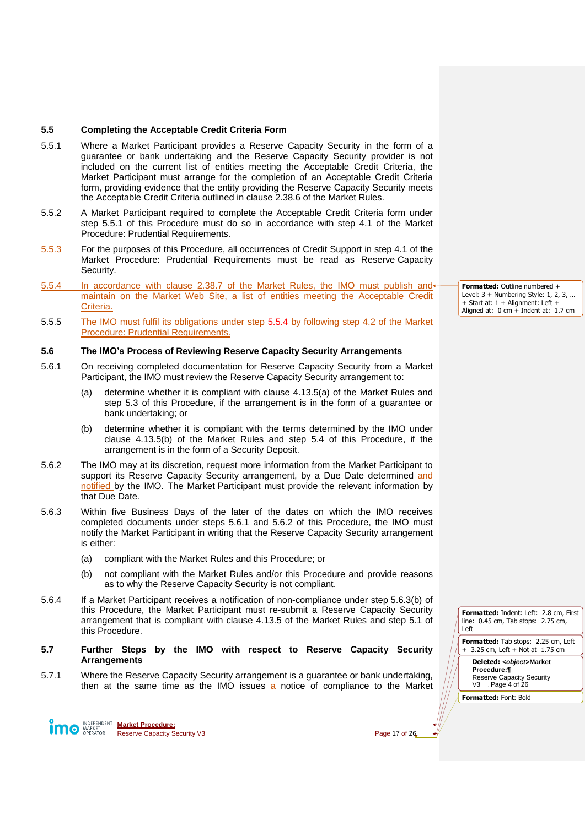#### <span id="page-16-0"></span>**5.5 Completing the Acceptable Credit Criteria Form**

- <span id="page-16-3"></span>5.5.1 Where a Market Participant provides a Reserve Capacity Security in the form of a guarantee or bank undertaking and the Reserve Capacity Security provider is not included on the current list of entities meeting the Acceptable Credit Criteria, the Market Participant must arrange for the completion of an Acceptable Credit Criteria form, providing evidence that the entity providing the Reserve Capacity Security meets the Acceptable Credit Criteria outlined in clause 2.38.6 of the Market Rules.
- 5.5.2 A Market Participant required to complete the Acceptable Credit Criteria form under step [5.5.1](#page-16-3) of this Procedure must do so in accordance with step 4.1 of the Market Procedure: Prudential Requirements.
- 5.5.3 For the purposes of this Procedure, all occurrences of Credit Support in step 4.1 of the Market Procedure: Prudential Requirements must be read as Reserve Capacity Security.
- <span id="page-16-4"></span>5.5.4 In accordance with clause 2.38.7 of the Market Rules, the IMO must publish and maintain on the Market Web Site, a list of entities meeting the Acceptable Credit Criteria.
- 5.5.5 The IMO must fulfil its obligations under step [5.5.4](#page-16-4) by following step 4.2 of the Market Procedure: Prudential Requirements.

#### <span id="page-16-1"></span>**5.6 The IMO's Process of Reviewing Reserve Capacity Security Arrangements**

- <span id="page-16-5"></span>5.6.1 On receiving completed documentation for Reserve Capacity Security from a Market Participant, the IMO must review the Reserve Capacity Security arrangement to:
	- (a) determine whether it is compliant with clause 4.13.5(a) of the Market Rules and step [5.3](#page-14-1) of this Procedure, if the arrangement is in the form of a guarantee or bank undertaking; or
	- (b) determine whether it is compliant with the terms determined by the IMO under clause 4.13.5(b) of the Market Rules and step [5.4](#page-15-0) of this Procedure, if the arrangement is in the form of a Security Deposit.
- <span id="page-16-6"></span>5.6.2 The IMO may at its discretion, request more information from the Market Participant to support its Reserve Capacity Security arrangement, by a Due Date determined and notified by the IMO. The Market Participant must provide the relevant information by that Due Date.
- 5.6.3 Within five Business Days of the later of the dates on which the IMO receives completed documents under steps [5.6.1](#page-16-5) and [5.6.2](#page-16-6) of this Procedure, the IMO must notify the Market Participant in writing that the Reserve Capacity Security arrangement is either:
	- (a) compliant with the Market Rules and this Procedure; or
	- (b) not compliant with the Market Rules and/or this Procedure and provide reasons as to why the Reserve Capacity Security is not compliant.
- <span id="page-16-8"></span>5.6.4 If a Market Participant receives a notification of non-compliance under step [5.6.3\(b\)](#page-16-7) of this Procedure, the Market Participant must re-submit a Reserve Capacity Security arrangement that is compliant with clause 4.13.5 of the Market Rules and step [5.1](#page-13-1) of this Procedure.
- <span id="page-16-2"></span>**5.7 Further Steps by the IMO with respect to Reserve Capacity Security Arrangements**
- <span id="page-16-9"></span>5.7.1 Where the Reserve Capacity Security arrangement is a guarantee or bank undertaking, then at the same time as the IMO issues a notice of compliance to the Market

**Market Procedure: O** MARKET Reserve Capacity Security V3 **Page 17** of 26

**Formatted:** Outline numbered + Level:  $3 +$  Numbering Style: 1, 2, 3, + Start at: 1 + Alignment: Left + Aligned at: 0 cm + Indent at: 1.7 cm

<span id="page-16-7"></span>**Formatted:** Indent: Left: 2.8 cm, First line: 0.45 cm, Tab stops: 2.75 cm, Left

**Formatted:** Tab stops: 2.25 cm, Left + 3.25 cm, Left + Not at 1.75 cm

**Deleted:** *<object>***Market Procedure:¶** Reserve Capacity Security V3 Page 4 of 26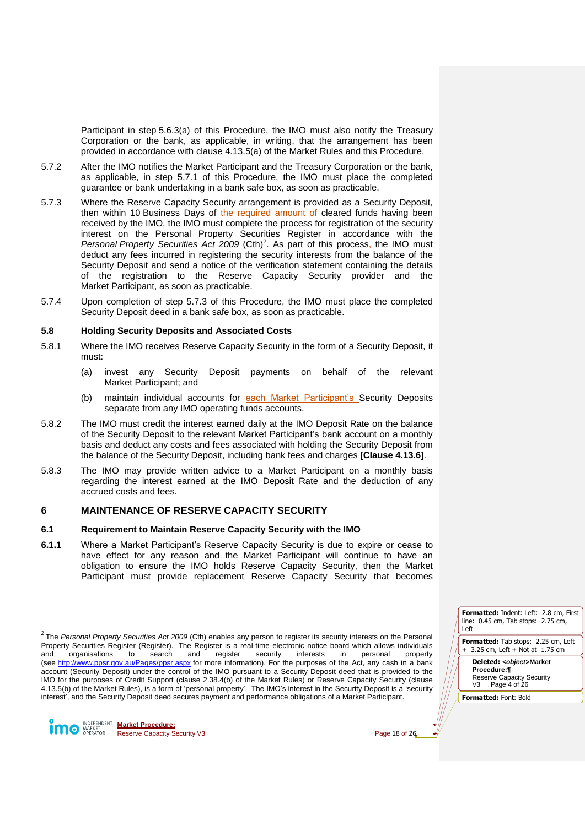Participant in step [5.6.3\(a\)](#page-16-8) of this Procedure, the IMO must also notify the Treasury Corporation or the bank, as applicable, in writing, that the arrangement has been provided in accordance with clause 4.13.5(a) of the Market Rules and this Procedure.

- 5.7.2 After the IMO notifies the Market Participant and the Treasury Corporation or the bank, as applicable, in step [5.7.1](#page-16-9) of this Procedure, the IMO must place the completed guarantee or bank undertaking in a bank safe box, as soon as practicable.
- <span id="page-17-3"></span>5.7.3 Where the Reserve Capacity Security arrangement is provided as a Security Deposit, then within 10 Business Days of the required amount of cleared funds having been received by the IMO, the IMO must complete the process for registration of the security interest on the Personal Property Securities Register in accordance with the Personal Property Securities Act 2009 (Cth)<sup>2</sup>. As part of this process, the IMO must deduct any fees incurred in registering the security interests from the balance of the Security Deposit and send a notice of the verification statement containing the details of the registration to the Reserve Capacity Security provider and the Market Participant, as soon as practicable.
- 5.7.4 Upon completion of step [5.7.3](#page-17-3) of this Procedure, the IMO must place the completed Security Deposit deed in a bank safe box, as soon as practicable.

#### <span id="page-17-0"></span>**5.8 Holding Security Deposits and Associated Costs**

- 5.8.1 Where the IMO receives Reserve Capacity Security in the form of a Security Deposit, it must:
	- (a) invest any Security Deposit payments on behalf of the relevant Market Participant; and
	- (b) maintain individual accounts for each Market Participant's Security Deposits separate from any IMO operating funds accounts.
- 5.8.2 The IMO must credit the interest earned daily at the IMO Deposit Rate on the balance of the Security Deposit to the relevant Market Participant's bank account on a monthly basis and deduct any costs and fees associated with holding the Security Deposit from the balance of the Security Deposit, including bank fees and charges **[Clause 4.13.6]**.
- 5.8.3 The IMO may provide written advice to a Market Participant on a monthly basis regarding the interest earned at the IMO Deposit Rate and the deduction of any accrued costs and fees.

# <span id="page-17-1"></span>**6 MAINTENANCE OF RESERVE CAPACITY SECURITY**

#### <span id="page-17-2"></span>**6.1 Requirement to Maintain Reserve Capacity Security with the IMO**

**6.1.1** Where a Market Participant's Reserve Capacity Security is due to expire or cease to have effect for any reason and the Market Participant will continue to have an obligation to ensure the IMO holds Reserve Capacity Security, then the Market Participant must provide replacement Reserve Capacity Security that becomes

**Market Procedure: O** MARKET Reserve Capacity Security V3 **Page 18 of 26** 

 $\overline{a}$ 

**Formatted:** Indent: Left: 2.8 cm, First line: 0.45 cm, Tab stops: 2.75 cm, Left

**Formatted:** Tab stops: 2.25 cm, Left + 3.25 cm, Left + Not at 1.75 cm

**Deleted:** *<object>***Market Procedure:¶** Reserve Capacity Security V3 Page 4 of 26

<sup>2</sup> The *Personal Property Securities Act 2009* (Cth) enables any person to register its security interests on the Personal Property Securities Register (Register). The Register is a real-time electronic notice board which allows individuals and organisations to search and register security interests in personal property and organisations to search and register security interests in personal property (see <http://www.ppsr.gov.au/Pages/ppsr.aspx> for more information). For the purposes of the Act, any cash in a bank account (Security Deposit) under the control of the IMO pursuant to a Security Deposit deed that is provided to the IMO for the purposes of Credit Support (clause 2.38.4(b) of the Market Rules) or Reserve Capacity Security (clause 4.13.5(b) of the Market Rules), is a form of 'personal property'. The IMO's interest in the Security Deposit is a 'security interest', and the Security Deposit deed secures payment and performance obligations of a Market Participant.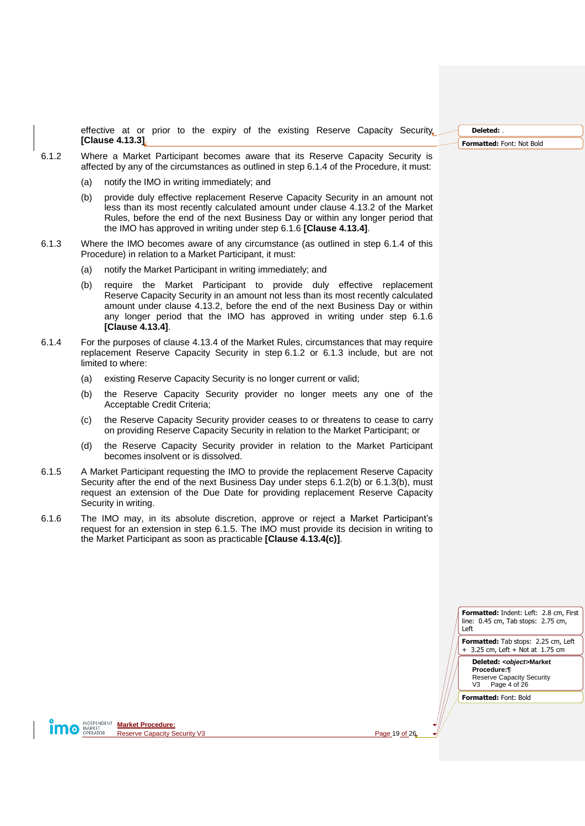effective at or prior to the expiry of the existing Reserve Capacity Security **[Clause 4.13.3]**.

- <span id="page-18-4"></span><span id="page-18-2"></span>6.1.2 Where a Market Participant becomes aware that its Reserve Capacity Security is affected by any of the circumstances as outlined in ste[p 6.1.4](#page-18-0) of the Procedure, it must:
	- (a) notify the IMO in writing immediately; and
	- (b) provide duly effective replacement Reserve Capacity Security in an amount not less than its most recently calculated amount under clause 4.13.2 of the Market Rules, before the end of the next Business Day or within any longer period that the IMO has approved in writing under step [6.1.6](#page-18-1) **[Clause 4.13.4]**.
- <span id="page-18-5"></span><span id="page-18-3"></span>6.1.3 Where the IMO becomes aware of any circumstance (as outlined in step [6.1.4](#page-18-0) of this Procedure) in relation to a Market Participant, it must:
	- (a) notify the Market Participant in writing immediately; and
	- (b) require the Market Participant to provide duly effective replacement Reserve Capacity Security in an amount not less than its most recently calculated amount under clause 4.13.2, before the end of the next Business Day or within any longer period that the IMO has approved in writing under step [6.1.6](#page-18-1) **[Clause 4.13.4]**.
- <span id="page-18-0"></span>6.1.4 For the purposes of clause 4.13.4 of the Market Rules, circumstances that may require replacement Reserve Capacity Security in step [6.1.2](#page-18-2) or [6.1.3](#page-18-3) include, but are not limited to where:
	- (a) existing Reserve Capacity Security is no longer current or valid;
	- (b) the Reserve Capacity Security provider no longer meets any one of the Acceptable Credit Criteria;
	- (c) the Reserve Capacity Security provider ceases to or threatens to cease to carry on providing Reserve Capacity Security in relation to the Market Participant; or
	- (d) the Reserve Capacity Security provider in relation to the Market Participant becomes insolvent or is dissolved.
- <span id="page-18-6"></span>6.1.5 A Market Participant requesting the IMO to provide the replacement Reserve Capacity Security after the end of the next Business Day under steps [6.1.2\(b\)](#page-18-4) or [6.1.3\(b\),](#page-18-5) must request an extension of the Due Date for providing replacement Reserve Capacity Security in writing.
- <span id="page-18-1"></span>6.1.6 The IMO may, in its absolute discretion, approve or reject a Market Participant's request for an extension in step [6.1.5.](#page-18-6) The IMO must provide its decision in writing to the Market Participant as soon as practicable **[Clause 4.13.4(c)]**.

**Formatted:** Indent: Left: 2.8 cm, First line: 0.45 cm, Tab stops: 2.75 cm, Left **Formatted:** Tab stops: 2.25 cm, Left

+ 3.25 cm, Left + Not at 1.75 cm **Deleted:** *<object>***Market Procedure:¶**

Reserve Capacity Security V3 Page 4 of 26

**Formatted:** Font: Bold

**Market Procedure:**<br> **MARKET Market Procedure:**<br> **Market Reserve Capacity S** Reserve Capacity Security V3 Page 19 of 26

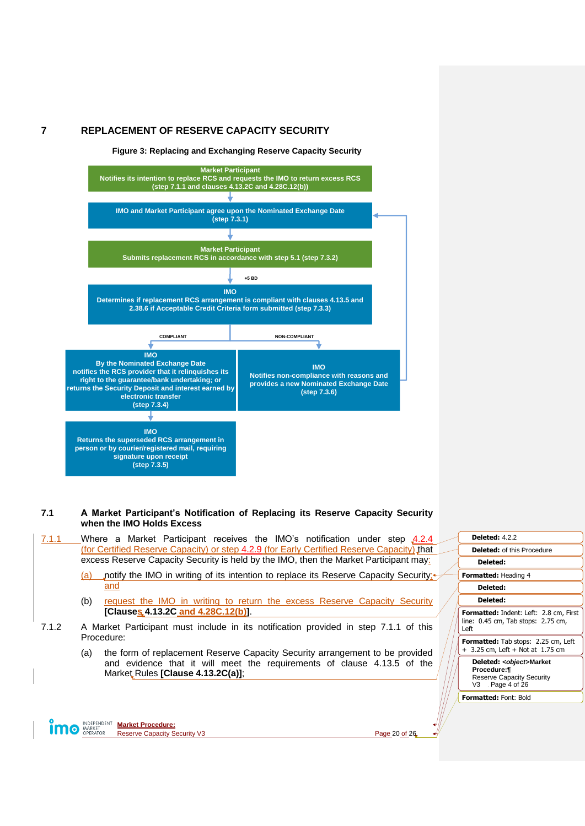# <span id="page-19-2"></span><span id="page-19-0"></span>**7 REPLACEMENT OF RESERVE CAPACITY SECURITY**

**Figure 3: Replacing and Exchanging Reserve Capacity Security**



# <span id="page-19-1"></span>**7.1 A Market Participant's Notification of Replacing its Reserve Capacity Security when the IMO Holds Excess**

<span id="page-19-3"></span>

| 7.1.1 | Where a Market Participant receives the IMO's notification under step 4.2.4                                                                                                                                                                                                                               |  | <b>Deleted: 4.2.2</b>                                                                          |
|-------|-----------------------------------------------------------------------------------------------------------------------------------------------------------------------------------------------------------------------------------------------------------------------------------------------------------|--|------------------------------------------------------------------------------------------------|
|       | (for Certified Reserve Capacity) or step 4.2.9 (for Early Certified Reserve Capacity) that                                                                                                                                                                                                                |  | <b>Deleted: of this Procedure</b>                                                              |
|       | excess Reserve Capacity Security is held by the IMO, then the Market Participant may:                                                                                                                                                                                                                     |  | Deleted:                                                                                       |
|       | notify the IMO in writing of its intention to replace its Reserve Capacity Security; <sup>4</sup><br>(a)                                                                                                                                                                                                  |  | <b>Formatted: Heading 4</b>                                                                    |
| 7.1.2 | and                                                                                                                                                                                                                                                                                                       |  | Deleted:                                                                                       |
|       | request the IMO in writing to return the excess Reserve Capacity Security<br>(b)                                                                                                                                                                                                                          |  | Deleted:                                                                                       |
|       | [Clauses 4.13.2C and 4.28C.12(b)].                                                                                                                                                                                                                                                                        |  | <b>Formatted:</b> Indent: Left: 2.8 cm, First<br>line: 0.45 cm, Tab stops: 2.75 cm,<br>Left    |
|       | A Market Participant must include in its notification provided in step 7.1.1 of this<br>Procedure:<br>the form of replacement Reserve Capacity Security arrangement to be provided<br>(a)<br>and evidence that it will meet the requirements of clause 4.13.5 of the<br>Market Rules [Clause 4.13.2C(a)]; |  |                                                                                                |
|       |                                                                                                                                                                                                                                                                                                           |  | Formatted: Tab stops: 2.25 cm, Left                                                            |
|       |                                                                                                                                                                                                                                                                                                           |  | $+$ 3.25 cm, Left $+$ Not at 1.75 cm                                                           |
|       |                                                                                                                                                                                                                                                                                                           |  | Deleted: < object>Market<br>Procedure:¶<br><b>Reserve Capacity Security</b><br>V3 Page 4 of 26 |
|       |                                                                                                                                                                                                                                                                                                           |  | <b>Formatted: Font: Bold</b>                                                                   |
|       | INDEPENDENT Market Procedure:                                                                                                                                                                                                                                                                             |  |                                                                                                |

**Market Procedure: IIIIO** MARKET Reserve Capacity Security V3 Page 20 of 26

 $\mathcal{A}$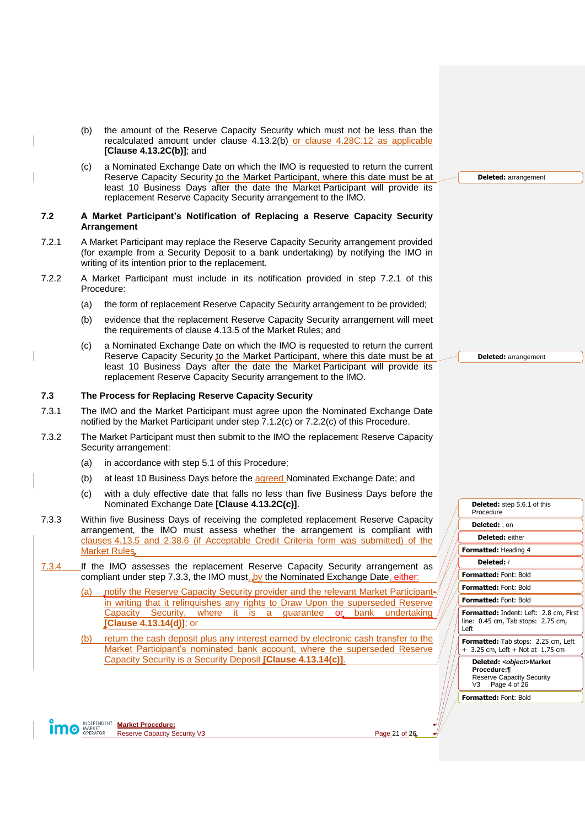- (b) the amount of the Reserve Capacity Security which must not be less than the recalculated amount under clause 4.13.2(b) or clause 4.28C.12 as applicable **[Clause 4.13.2C(b)]**; and
- <span id="page-20-3"></span>(c) a Nominated Exchange Date on which the IMO is requested to return the current Reserve Capacity Security to the Market Participant, where this date must be at least 10 Business Days after the date the Market Participant will provide its replacement Reserve Capacity Security arrangement to the IMO.

#### <span id="page-20-0"></span>**7.2 A Market Participant's Notification of Replacing a Reserve Capacity Security Arrangement**

- <span id="page-20-2"></span>7.2.1 A Market Participant may replace the Reserve Capacity Security arrangement provided (for example from a Security Deposit to a bank undertaking) by notifying the IMO in writing of its intention prior to the replacement.
- 7.2.2 A Market Participant must include in its notification provided in step [7.2.1](#page-20-2) of this Procedure:
	- (a) the form of replacement Reserve Capacity Security arrangement to be provided;
	- (b) evidence that the replacement Reserve Capacity Security arrangement will meet the requirements of clause 4.13.5 of the Market Rules; and
	- (c) a Nominated Exchange Date on which the IMO is requested to return the current Reserve Capacity Security to the Market Participant, where this date must be at least 10 Business Days after the date the Market Participant will provide its replacement Reserve Capacity Security arrangement to the IMO.

#### <span id="page-20-4"></span><span id="page-20-1"></span>**7.3 The Process for Replacing Reserve Capacity Security**

- 7.3.1 The IMO and the Market Participant must agree upon the Nominated Exchange Date notified by the Market Participant under step [7.1.2\(c\)](#page-20-3) or [7.2.2\(c\)](#page-20-4) of this Procedure.
- 7.3.2 The Market Participant must then submit to the IMO the replacement Reserve Capacity Security arrangement:
	- (a) in accordance with step [5.1](#page-13-1) of this Procedure;
	- (b) at least 10 Business Days before the agreed Nominated Exchange Date; and
	- (c) with a duly effective date that falls no less than five Business Days before the Nominated Exchange Date **[Clause 4.13.2C(c)]**.
- <span id="page-20-5"></span>7.3.3 Within five Business Days of receiving the completed replacement Reserve Capacity arrangement, the IMO must assess whether the arrangement is compliant with clauses 4.13.5 and 2.38.6 (if Acceptable Credit Criteria form was submitted) of the Market Rule[s.](#page-16-5)
- <span id="page-20-6"></span>7.3.4 If the IMO assesses the replacement Reserve Capacity Security arrangement as compliant under step [7.3.3,](#page-20-5) the IMO must, by the Nominated Exchange Date, either:
	- (a) notify the Reserve Capacity Security provider and the relevant Market Participant in writing that it relinquishes any rights to Draw Upon the superseded Reserve Capacity Security, where it is a guarantee or bank undertaking **[Clause 4.13.14(d)]**; or
	- (b) return the cash deposit plus any interest earned by electronic cash transfer to the Market Participant's nominated bank account, where the superseded Reserve Capacity Security is a Security Deposit **[Clause 4.13.14(c)]**.

**Formatted:** Indent: Left: 2.8 cm, First line: 0.45 cm, Tab stops: 2.75 cm, Left **Formatted:** Tab stops: 2.25 cm, Left + 3.25 cm, Left + Not at 1.75 cm **Deleted:** , on **Deleted:** either **Formatted:** Heading 4 **Deleted:** / **Formatted:** Font: Bold **Formatted:** Font: Bold **Formatted:** Font: Bold

**Deleted:** ste[p 5.6.1](#page-16-5) of this

Procedure

**Deleted:** *<object>***Market Procedure:¶** Reserve Capacity Security V3 Page 4 of 26

**Formatted:** Font: Bold

**Market Procedure: O** MARKET Reserve Capacity Security V3 Page 21 of 26

**Deleted:** arrangement

**Deleted:** arrangement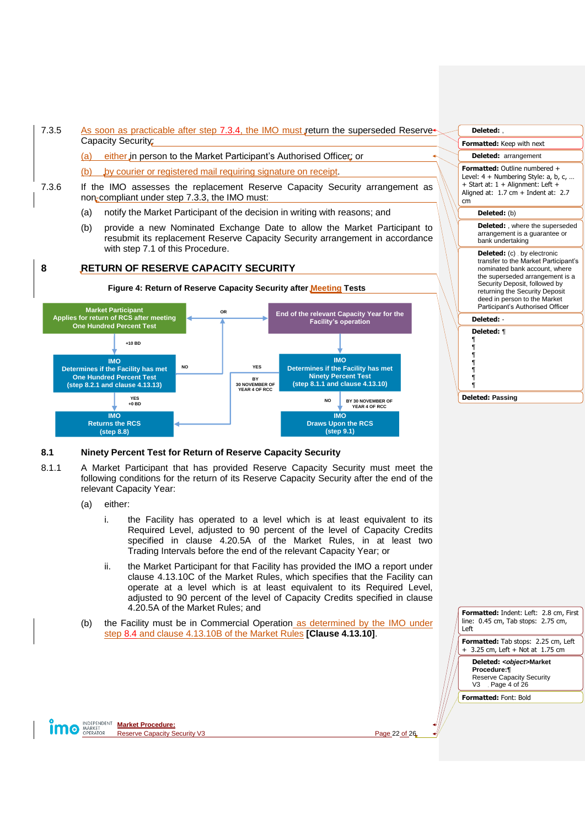7.3.5 As soon as practicable after step [7.3.4,](#page-20-6) the IMO must return the superseded Reserve Capacity Security:

(a) either in person to the Market Participant's Authorised Officer; or

(b) by courier or registered mail requiring signature on receipt.

- 7.3.6 If the IMO assesses the replacement Reserve Capacity Security arrangement as non-compliant under ste[p 7.3.3,](#page-20-5) the IMO must:
	- (a) notify the Market Participant of the decision in writing with reasons; and
	- (b) provide a new Nominated Exchange Date to allow the Market Participant to resubmit its replacement Reserve Capacity Security arrangement in accordance with step [7.1](#page-19-1) of this Procedure.

# <span id="page-21-0"></span>**8 RETURN OF RESERVE CAPACITY SECURITY**

<span id="page-21-2"></span>

# <span id="page-21-1"></span>**8.1 Ninety Percent Test for Return of Reserve Capacity Security**

- <span id="page-21-3"></span>8.1.1 A Market Participant that has provided Reserve Capacity Security must meet the following conditions for the return of its Reserve Capacity Security after the end of the relevant Capacity Year:
	- (a) either:
		- i. the Facility has operated to a level which is at least equivalent to its Required Level, adjusted to 90 percent of the level of Capacity Credits specified in clause 4.20.5A of the Market Rules, in at least two Trading Intervals before the end of the relevant Capacity Year; or
		- ii. the Market Participant for that Facility has provided the IMO a report under clause 4.13.10C of the Market Rules, which specifies that the Facility can operate at a level which is at least equivalent to its Required Level, adjusted to 90 percent of the level of Capacity Credits specified in clause 4.20.5A of the Market Rules; and
	- (b) the Facility must be in Commercial Operation as determined by the IMO under step [8.4](#page-23-0) and clause 4.13.10B of the Market Rules **[Clause 4.13.10]**.





<span id="page-21-4"></span>**Market Procedure: O** MARKET Reserve Capacity Security V3 Page 22 of 26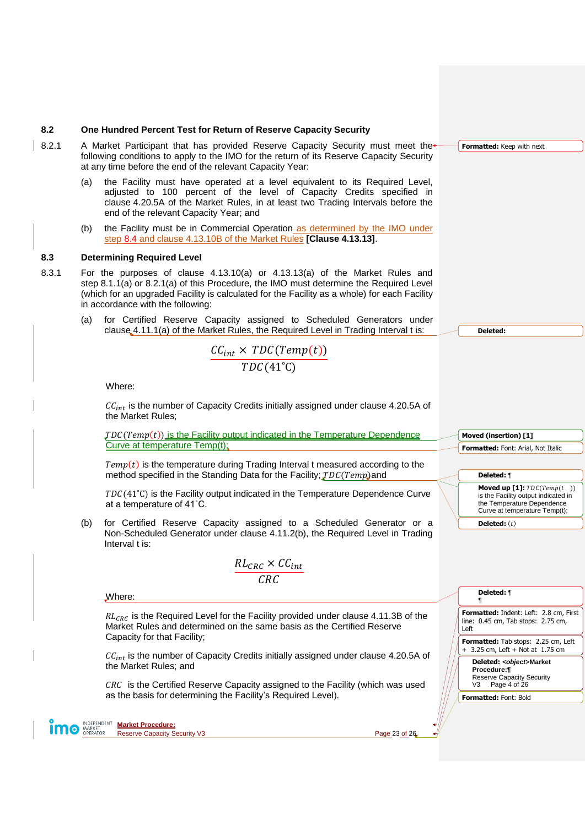#### <span id="page-22-0"></span>**8.2 One Hundred Percent Test for Return of Reserve Capacity Security**

- <span id="page-22-2"></span>8.2.1 A Market Participant that has provided Reserve Capacity Security must meet the following conditions to apply to the IMO for the return of its Reserve Capacity Security at any time before the end of the relevant Capacity Year:
	- (a) the Facility must have operated at a level equivalent to its Required Level, adjusted to 100 percent of the level of Capacity Credits specified in clause 4.20.5A of the Market Rules, in at least two Trading Intervals before the end of the relevant Capacity Year; and
	- (b) the Facility must be in Commercial Operation as determined by the IMO under step [8.4](#page-23-0) and clause 4.13.10B of the Market Rules **[Clause 4.13.13]**.

#### <span id="page-22-3"></span><span id="page-22-1"></span>**8.3 Determining Required Level**

- 8.3.1 For the purposes of clause 4.13.10(a) or 4.13.13(a) of the Market Rules and step [8.1.1\(a\)](#page-21-3) or [8.2.1\(a\)](#page-22-2) of this Procedure, the IMO must determine the Required Level (which for an upgraded Facility is calculated for the Facility as a whole) for each Facility in accordance with the following:
	- (a) for Certified Reserve Capacity assigned to Scheduled Generators under clause 4.11.1(a) of the Market Rules, the Required Level in Trading Interval t is:

$$
\frac{CC_{int} \times TDC(Temp(t))}{TDC(41^{\circ}C)}
$$

Where:

 $CC_{int}$  is the number of Capacity Credits initially assigned under clause 4.20.5A of the Market Rules;

 $\mathcal{J}DC(Temp(t))$  is the Facility output indicated in the Temperature Dependence Curve at temperature Temp(t);

 $Temp(t)$  is the temperature during Trading Interval t measured according to the method specified in the Standing Data for the Facility;  $TDC(Temp)$  and

 $TDC(41^{\circ}C)$  is the Facility output indicated in the Temperature Dependence Curve at a temperature of 41˚C.

(b) for Certified Reserve Capacity assigned to a Scheduled Generator or a Non-Scheduled Generator under clause 4.11.2(b), the Required Level in Trading Interval t is:

$$
\frac{RL_{CRC} \times CC_{int}}{CRC}
$$

**Deleted:** ¶ Where: ¶**Formatted:** Indent: Left: 2.8 cm, First  $RL_{CRC}$  is the Required Level for the Facility provided under clause 4.11.3B of the line: 0.45 cm, Tab stops: 2.75 cm, Market Rules and determined on the same basis as the Certified Reserve Left Capacity for that Facility; **Formatted:** Tab stops: 2.25 cm, Left + 3.25 cm, Left + Not at 1.75 cm  $CC_{int}$  is the number of Capacity Credits initially assigned under clause 4.20.5A of **Deleted:** *<object>***Market**  the Market Rules; and **Procedure:¶** Reserve Capacity Security  $CRC$  is the Certified Reserve Capacity assigned to the Facility (which was used V3 Page 4 of 26 as the basis for determining the Facility's Required Level). **Formatted:** Font: Bold **Market Procedure: O** MARKET Reserve Capacity Security V3 Page 23 of 26

**Deleted:** 

**Moved (insertion) [1] Formatted:** Font: Arial, Not Italic

**Deleted:** ¶

**Moved up [1]:**  $TDC(Temp(t))$ is the Facility output indicated in the Temperature Dependence Curve at temperature Temp(t);

**Deleted:** (t)

**Formatted:** Keep with next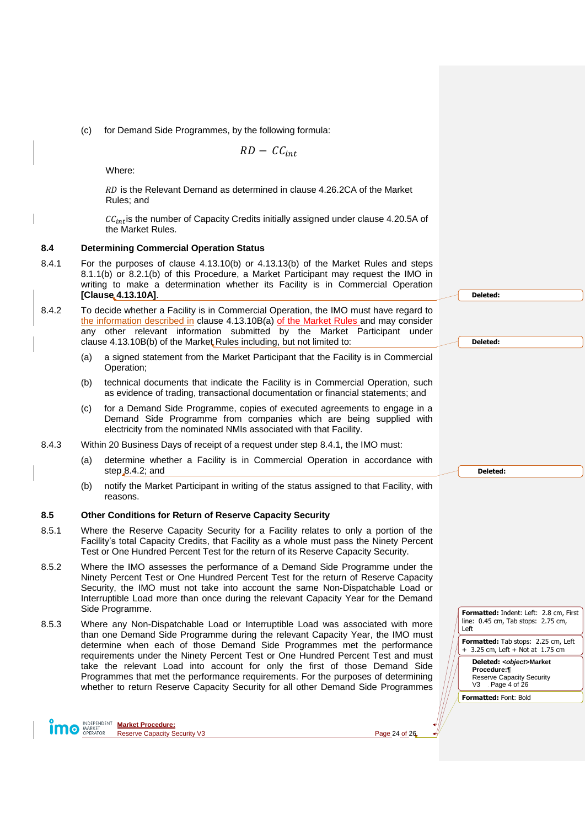(c) for Demand Side Programmes, by the following formula:

 $RD - CC_{int}$ 

Where:

RD is the Relevant Demand as determined in clause 4.26.2CA of the Market Rules; and

 $CC_{int}$  is the number of Capacity Credits initially assigned under clause 4.20.5A of the Market Rules.

#### <span id="page-23-0"></span>**8.4 Determining Commercial Operation Status**

- <span id="page-23-2"></span>8.4.1 For the purposes of clause 4.13.10(b) or 4.13.13(b) of the Market Rules and steps [8.1.1\(b\)](#page-21-4) or [8.2.1\(b\)](#page-22-3) of this Procedure, a Market Participant may request the IMO in writing to make a determination whether its Facility is in Commercial Operation **[Clause 4.13.10A]**.
- <span id="page-23-3"></span>8.4.2 To decide whether a Facility is in Commercial Operation, the IMO must have regard to the information described in clause 4.13.10B(a) of the Market Rules and may consider any other relevant information submitted by the Market Participant under clause 4.13.10B(b) of the Market Rules including, but not limited to:
	- (a) a signed statement from the Market Participant that the Facility is in Commercial Operation;
	- (b) technical documents that indicate the Facility is in Commercial Operation, such as evidence of trading, transactional documentation or financial statements; and
	- (c) for a Demand Side Programme, copies of executed agreements to engage in a Demand Side Programme from companies which are being supplied with electricity from the nominated NMIs associated with that Facility.
- 8.4.3 Within 20 Business Days of receipt of a request under step [8.4.1,](#page-23-2) the IMO must:
	- (a) determine whether a Facility is in Commercial Operation in accordance with step [8.4.2;](#page-23-3) and
	- (b) notify the Market Participant in writing of the status assigned to that Facility, with reasons.

#### <span id="page-23-1"></span>**8.5 Other Conditions for Return of Reserve Capacity Security**

- 8.5.1 Where the Reserve Capacity Security for a Facility relates to only a portion of the Facility's total Capacity Credits, that Facility as a whole must pass the Ninety Percent Test or One Hundred Percent Test for the return of its Reserve Capacity Security.
- 8.5.2 Where the IMO assesses the performance of a Demand Side Programme under the Ninety Percent Test or One Hundred Percent Test for the return of Reserve Capacity Security, the IMO must not take into account the same Non-Dispatchable Load or Interruptible Load more than once during the relevant Capacity Year for the Demand Side Programme.
- 8.5.3 Where any Non-Dispatchable Load or Interruptible Load was associated with more than one Demand Side Programme during the relevant Capacity Year, the IMO must determine when each of those Demand Side Programmes met the performance requirements under the Ninety Percent Test or One Hundred Percent Test and must take the relevant Load into account for only the first of those Demand Side Programmes that met the performance requirements. For the purposes of determining whether to return Reserve Capacity Security for all other Demand Side Programmes



**Market Procedure:** Reserve Capacity Security V3 **Page 24 of 26**  **Deleted:** 

**Deleted:** 

**Deleted:** 

**Formatted:** Indent: Left: 2.8 cm, First line: 0.45 cm, Tab stops: 2.75 cm, Left

**Formatted:** Tab stops: 2.25 cm, Left + 3.25 cm, Left + Not at 1.75 cm

**Deleted:** *<object>***Market Procedure:¶** Reserve Capacity Security V3 Page 4 of 26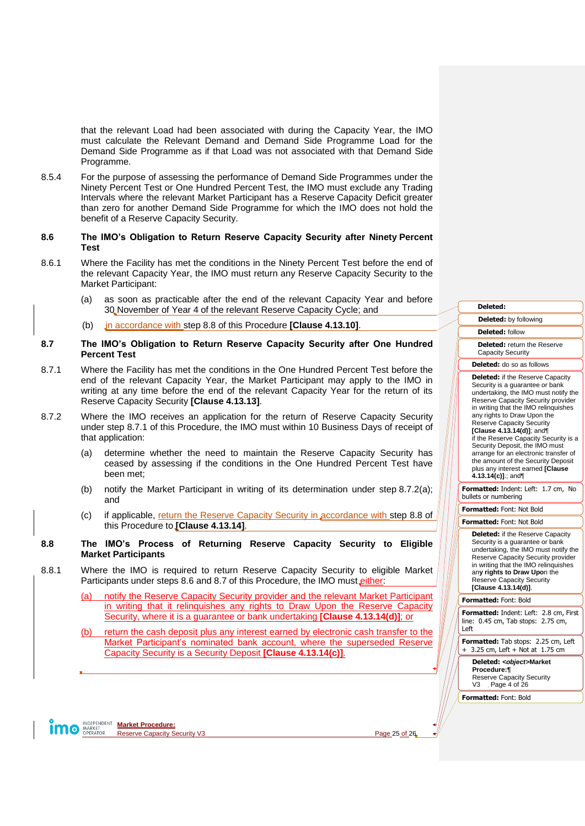that the relevant Load had been associated with during the Capacity Year, the IMO must calculate the Relevant Demand and Demand Side Programme Load for the Demand Side Programme as if that Load was not associated with that Demand Side Programme.

8.5.4 For the purpose of assessing the performance of Demand Side Programmes under the Ninety Percent Test or One Hundred Percent Test, the IMO must exclude any Trading Intervals where the relevant Market Participant has a Reserve Capacity Deficit greater than zero for another Demand Side Programme for which the IMO does not hold the benefit of a Reserve Capacity Security.

#### <span id="page-24-0"></span>**8.6 The IMO's Obligation to Return Reserve Capacity Security after Ninety Percent Test**

- 8.6.1 Where the Facility has met the conditions in the Ninety Percent Test before the end of the relevant Capacity Year, the IMO must return any Reserve Capacity Security to the Market Participant:
	- (a) as soon as practicable after the end of the relevant Capacity Year and before 30 November of Year 4 of the relevant Reserve Capacity Cycle; and
	- (b) in accordance with step [8.8](#page-24-2) of this Procedure **[Clause 4.13.10]**.
- <span id="page-24-1"></span>**8.7 The IMO's Obligation to Return Reserve Capacity Security after One Hundred Percent Test**
- <span id="page-24-3"></span>8.7.1 Where the Facility has met the conditions in the One Hundred Percent Test before the end of the relevant Capacity Year, the Market Participant may apply to the IMO in writing at any time before the end of the relevant Capacity Year for the return of its Reserve Capacity Security **[Clause 4.13.13]**.
- <span id="page-24-4"></span>8.7.2 Where the IMO receives an application for the return of Reserve Capacity Security under step [8.7.1](#page-24-3) of this Procedure, the IMO must within 10 Business Days of receipt of that application:
	- (a) determine whether the need to maintain the Reserve Capacity Security has ceased by assessing if the conditions in the One Hundred Percent Test have been met;
	- (b) notify the Market Participant in writing of its determination under step [8.7.2\(a\);](#page-24-4) and
	- (c) if applicable, return the Reserve Capacity Security in accordance with step [8.8](#page-24-2) of this Procedure to **[Clause 4.13.14]**.

### <span id="page-24-2"></span>**8.8 The IMO's Process of Returning Reserve Capacity Security to Eligible Market Participants**

<span id="page-24-5"></span>8.8.1 Where the IMO is required to return Reserve Capacity Security to eligible Market Participants under steps [8.6](#page-24-0) and [8.7](#page-24-1) of this Procedure, the IMO must either:

> notify the Reserve Capacity Security provider and the relevant Market Participant in writing that it relinquishes any rights to Draw Upon the Reserve Capacity Security, where it is a guarantee or bank undertaking **[Clause 4.13.14(d)]**; or

> (b) return the cash deposit plus any interest earned by electronic cash transfer to the Market Participant's nominated bank account, where the superseded Reserve Capacity Security is a Security Deposit **[Clause 4.13.14(c)]**.

**Market Procedure: O** MARKET Reserve Capacity Security V3 Page 25 of 26

**Deleted: Deleted:** by following **Deleted:** follow **Deleted:** return the Reserve Capacity Security **Deleted:** do so as follows **Deleted:** if the Reserve Capacity Security is a guarantee or bank undertaking, the IMO must notify the Reserve Capacity Security provider in writing that the IMO relinquishes any rights to Draw Upon the Reserve Capacity Security **[Clause 4.13.14(d)]**; and¶ if the Reserve Capacity Security is a Security Deposit, the IMO must arrange for an electronic transfer of the amount of the Security Deposit plus any interest earned **[Clause 4.13.14(c)]**.; and¶ **Formatted:** Indent: Left: 1.7 cm, No bullets or numbering **Formatted:** Font: Not Bold

**Formatted:** Font: Not Bold

**Deleted:** if the Reserve Capacity Security is a guarantee or bank undertaking, the IMO must notify the Reserve Capacity Security provider in writing that the IMO relinquishes an**y rights to Draw Upo**n the Reserve Capacity Security **[Clause 4.13.14(d)]**.

#### **Formatted:** Font: Bold

**Formatted:** Indent: Left: 2.8 cm, First line: 0.45 cm, Tab stops: 2.75 cm, Left

**Formatted:** Tab stops: 2.25 cm, Left + 3.25 cm, Left + Not at 1.75 cm

**Deleted:** *<object>***Market Procedure:¶** Reserve Capacity Security V3 Page 4 of 26